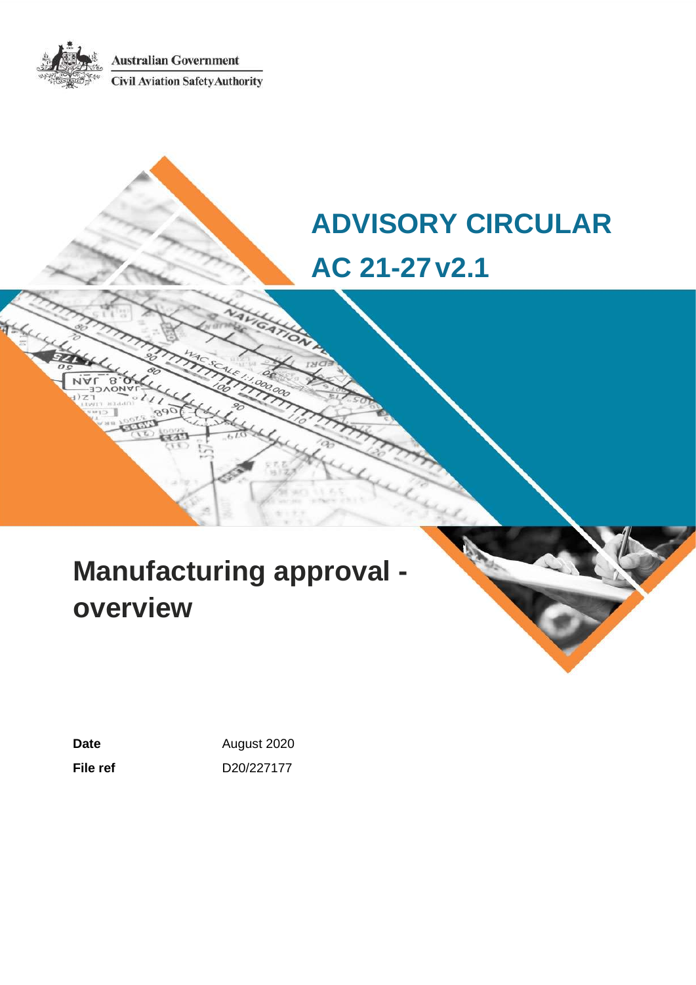**Australian Government Civil Aviation Safety Authority** 

# **ADVISORY CIRCULAR AC 21-27v2.1**

# **Manufacturing approval overview**

Date **Date August** 2020 **File ref** D20/227177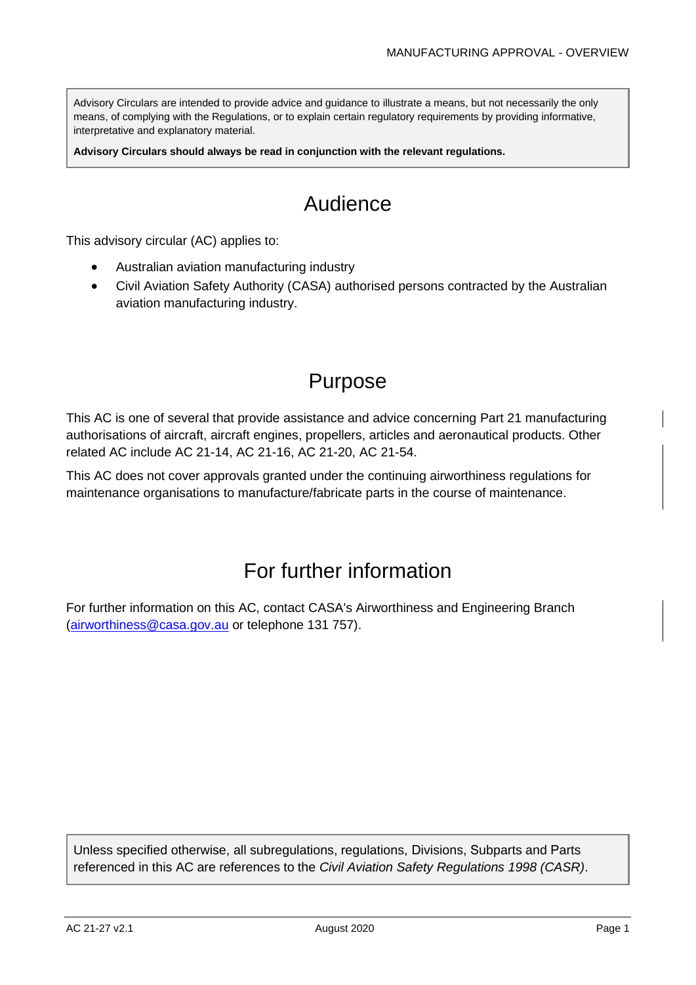Advisory Circulars are intended to provide advice and guidance to illustrate a means, but not necessarily the only means, of complying with the Regulations, or to explain certain regulatory requirements by providing informative, interpretative and explanatory material.

**Advisory Circulars should always be read in conjunction with the relevant regulations.**

## Audience

This advisory circular (AC) applies to:

- Australian aviation manufacturing industry
- Civil Aviation Safety Authority (CASA) authorised persons contracted by the Australian aviation manufacturing industry.

## Purpose

This AC is one of several that provide assistance and advice concerning Part 21 manufacturing authorisations of aircraft, aircraft engines, propellers, articles and aeronautical products. Other related AC include AC 21-14, AC 21-16, AC 21-20, AC 21-54.

This AC does not cover approvals granted under the continuing airworthiness regulations for maintenance organisations to manufacture/fabricate parts in the course of maintenance.

## For further information

For further information on this AC, contact CASA's Airworthiness and Engineering Branch [\(airworthiness@casa.gov.au](mailto:airworthiness@casa.gov.au) or telephone 131 757).

Unless specified otherwise, all subregulations, regulations, Divisions, Subparts and Parts referenced in this AC are references to the *Civil Aviation Safety Regulations 1998 (CASR)*.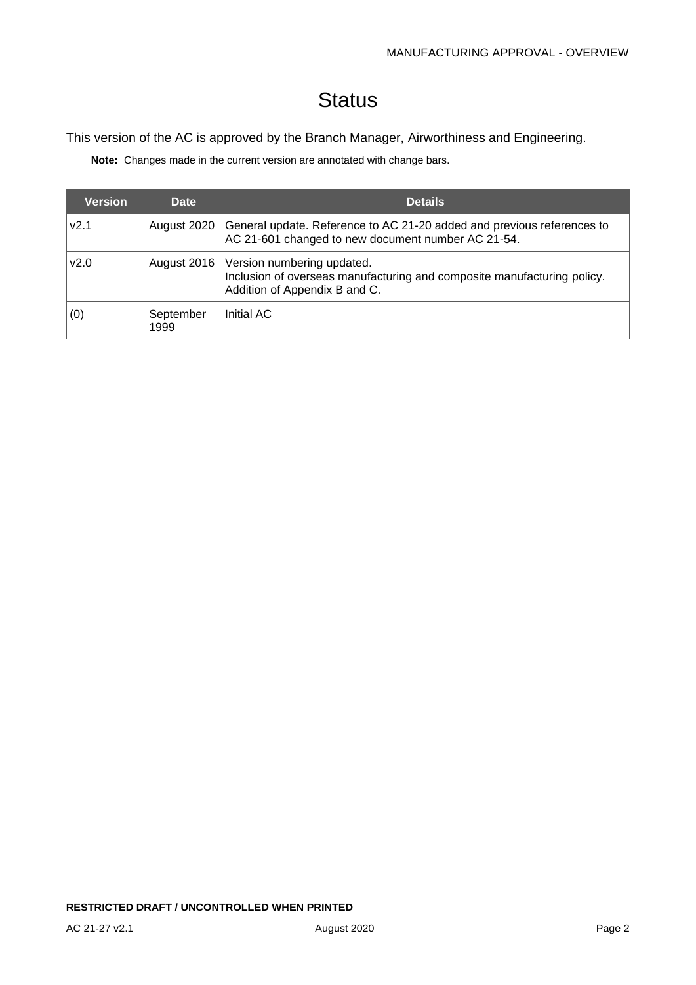## **Status**

#### This version of the AC is approved by the Branch Manager, Airworthiness and Engineering.

**Note:** Changes made in the current version are annotated with change bars.

| <b>Version</b> | <b>Date</b>       | <b>Details</b>                                                                                                                         |
|----------------|-------------------|----------------------------------------------------------------------------------------------------------------------------------------|
| v2.1           | August 2020       | General update. Reference to AC 21-20 added and previous references to<br>AC 21-601 changed to new document number AC 21-54.           |
| v2.0           | August 2016       | Version numbering updated.<br>Inclusion of overseas manufacturing and composite manufacturing policy.<br>Addition of Appendix B and C. |
| (0)            | September<br>1999 | Initial AC                                                                                                                             |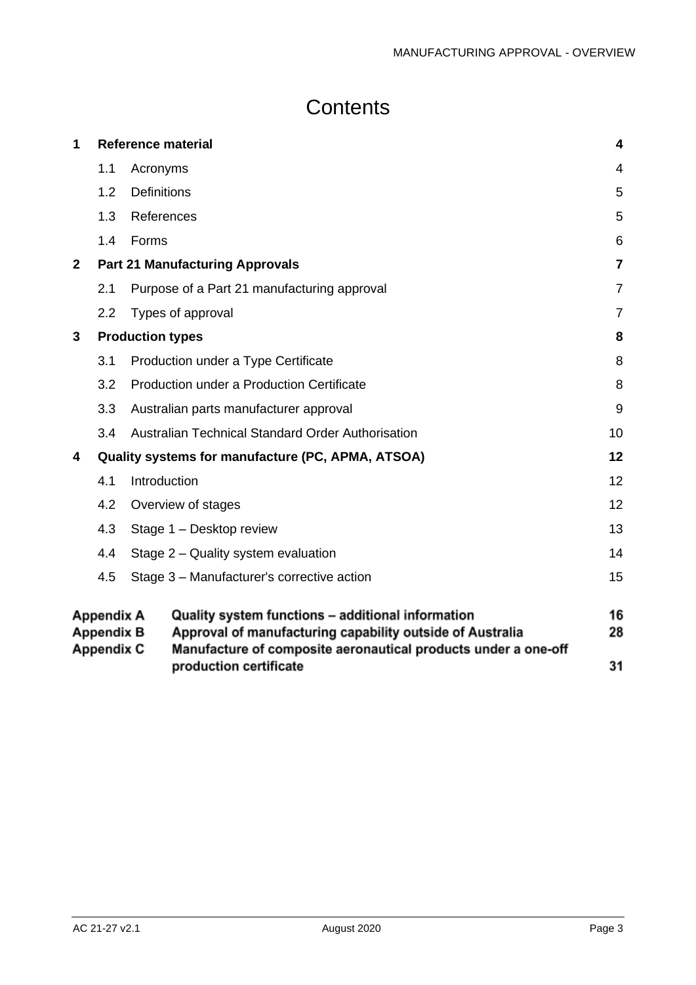## **Contents**

| 1.1<br>1.2 | Acronyms<br><b>Definitions</b>                                                                                                                                                   | 4                                                                                                                                                                                                               |
|------------|----------------------------------------------------------------------------------------------------------------------------------------------------------------------------------|-----------------------------------------------------------------------------------------------------------------------------------------------------------------------------------------------------------------|
|            |                                                                                                                                                                                  |                                                                                                                                                                                                                 |
|            |                                                                                                                                                                                  | 5                                                                                                                                                                                                               |
|            | References                                                                                                                                                                       | 5                                                                                                                                                                                                               |
| 1.4        | Forms                                                                                                                                                                            | 6                                                                                                                                                                                                               |
|            |                                                                                                                                                                                  | $\overline{7}$                                                                                                                                                                                                  |
| 2.1        | Purpose of a Part 21 manufacturing approval                                                                                                                                      | $\overline{7}$                                                                                                                                                                                                  |
| 2.2        | Types of approval                                                                                                                                                                | $\overline{7}$                                                                                                                                                                                                  |
|            |                                                                                                                                                                                  | 8                                                                                                                                                                                                               |
| 3.1        | Production under a Type Certificate                                                                                                                                              | 8                                                                                                                                                                                                               |
| 3.2        | Production under a Production Certificate                                                                                                                                        | 8                                                                                                                                                                                                               |
| 3.3        | Australian parts manufacturer approval                                                                                                                                           | 9                                                                                                                                                                                                               |
| 3.4        | Australian Technical Standard Order Authorisation                                                                                                                                | 10                                                                                                                                                                                                              |
|            |                                                                                                                                                                                  | 12                                                                                                                                                                                                              |
| 4.1        | Introduction                                                                                                                                                                     | 12                                                                                                                                                                                                              |
| 4.2        | Overview of stages                                                                                                                                                               | 12                                                                                                                                                                                                              |
| 4.3        | Stage 1 - Desktop review                                                                                                                                                         | 13                                                                                                                                                                                                              |
| 4.4        | Stage 2 – Quality system evaluation                                                                                                                                              | 14                                                                                                                                                                                                              |
| 4.5        | Stage 3 - Manufacturer's corrective action                                                                                                                                       | 15                                                                                                                                                                                                              |
|            | Quality system functions - additional information<br>Approval of manufacturing capability outside of Australia<br>Manufacture of composite aeronautical products under a one-off | 16<br>28<br>31                                                                                                                                                                                                  |
|            | 1.3                                                                                                                                                                              | <b>Part 21 Manufacturing Approvals</b><br><b>Production types</b><br>Quality systems for manufacture (PC, APMA, ATSOA)<br><b>Appendix A</b><br><b>Appendix B</b><br><b>Appendix C</b><br>production certificate |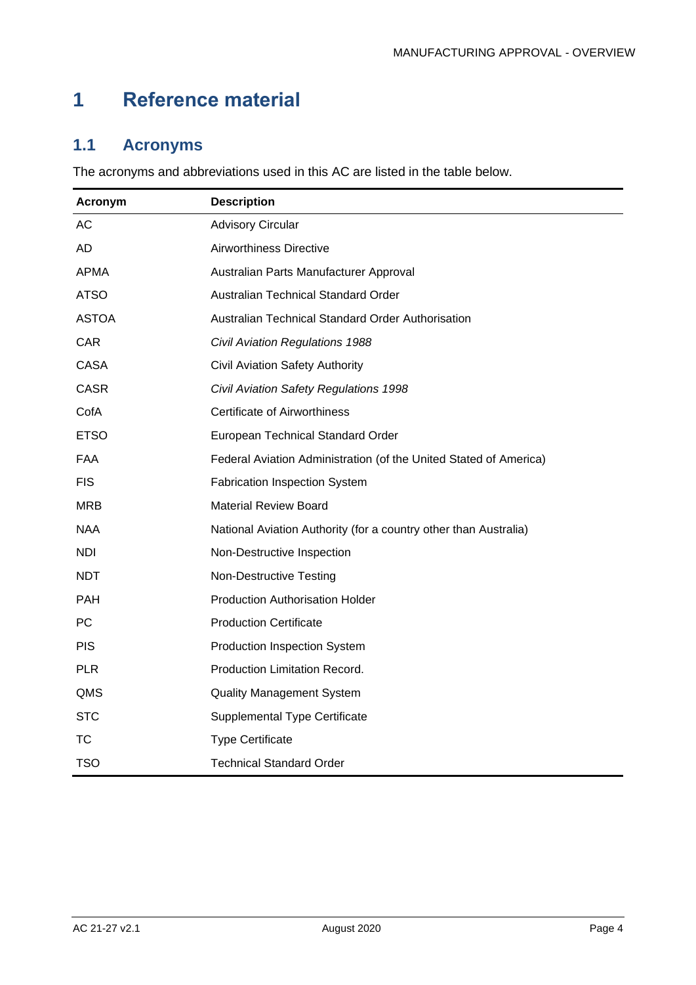## <span id="page-4-0"></span>**1 Reference material**

## <span id="page-4-1"></span>**1.1 Acronyms**

The acronyms and abbreviations used in this AC are listed in the table below.

<span id="page-4-2"></span>

| Acronym      | <b>Description</b>                                                |
|--------------|-------------------------------------------------------------------|
| <b>AC</b>    | <b>Advisory Circular</b>                                          |
| AD.          | Airworthiness Directive                                           |
| <b>APMA</b>  | Australian Parts Manufacturer Approval                            |
| <b>ATSO</b>  | Australian Technical Standard Order                               |
| <b>ASTOA</b> | Australian Technical Standard Order Authorisation                 |
| CAR          | <b>Civil Aviation Regulations 1988</b>                            |
| <b>CASA</b>  | <b>Civil Aviation Safety Authority</b>                            |
| <b>CASR</b>  | Civil Aviation Safety Regulations 1998                            |
| CofA         | <b>Certificate of Airworthiness</b>                               |
| <b>ETSO</b>  | European Technical Standard Order                                 |
| FAA          | Federal Aviation Administration (of the United Stated of America) |
| <b>FIS</b>   | <b>Fabrication Inspection System</b>                              |
| <b>MRB</b>   | <b>Material Review Board</b>                                      |
| <b>NAA</b>   | National Aviation Authority (for a country other than Australia)  |
| <b>NDI</b>   | Non-Destructive Inspection                                        |
| <b>NDT</b>   | <b>Non-Destructive Testing</b>                                    |
| PAH          | <b>Production Authorisation Holder</b>                            |
| <b>PC</b>    | <b>Production Certificate</b>                                     |
| <b>PIS</b>   | Production Inspection System                                      |
| <b>PLR</b>   | Production Limitation Record.                                     |
| QMS          | <b>Quality Management System</b>                                  |
| <b>STC</b>   | <b>Supplemental Type Certificate</b>                              |
| ТC           | <b>Type Certificate</b>                                           |
| <b>TSO</b>   | <b>Technical Standard Order</b>                                   |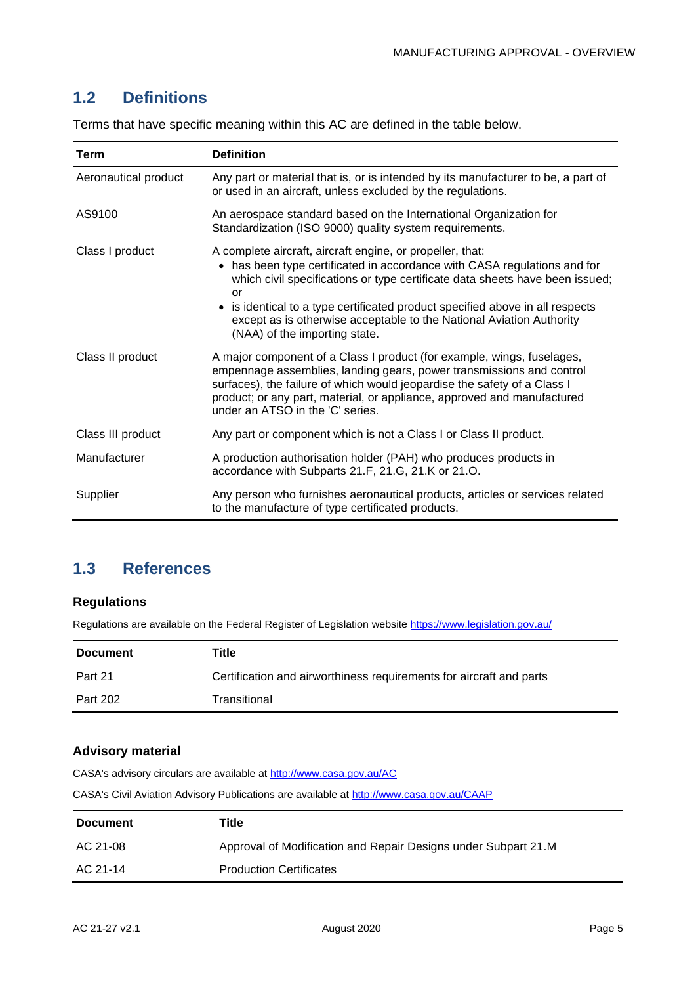## **1.2 Definitions**

| Term                 | <b>Definition</b>                                                                                                                                                                                                                                                                                                                                                                                                     |
|----------------------|-----------------------------------------------------------------------------------------------------------------------------------------------------------------------------------------------------------------------------------------------------------------------------------------------------------------------------------------------------------------------------------------------------------------------|
| Aeronautical product | Any part or material that is, or is intended by its manufacturer to be, a part of<br>or used in an aircraft, unless excluded by the regulations.                                                                                                                                                                                                                                                                      |
| AS9100               | An aerospace standard based on the International Organization for<br>Standardization (ISO 9000) quality system requirements.                                                                                                                                                                                                                                                                                          |
| Class I product      | A complete aircraft, aircraft engine, or propeller, that:<br>• has been type certificated in accordance with CASA regulations and for<br>which civil specifications or type certificate data sheets have been issued;<br>or<br>• is identical to a type certificated product specified above in all respects<br>except as is otherwise acceptable to the National Aviation Authority<br>(NAA) of the importing state. |
| Class II product     | A major component of a Class I product (for example, wings, fuselages,<br>empennage assemblies, landing gears, power transmissions and control<br>surfaces), the failure of which would jeopardise the safety of a Class I<br>product; or any part, material, or appliance, approved and manufactured<br>under an ATSO in the 'C' series.                                                                             |
| Class III product    | Any part or component which is not a Class I or Class II product.                                                                                                                                                                                                                                                                                                                                                     |
| Manufacturer         | A production authorisation holder (PAH) who produces products in<br>accordance with Subparts 21.F, 21.G, 21.K or 21.O.                                                                                                                                                                                                                                                                                                |
| Supplier             | Any person who furnishes aeronautical products, articles or services related<br>to the manufacture of type certificated products.                                                                                                                                                                                                                                                                                     |

Terms that have specific meaning within this AC are defined in the table below.

## <span id="page-5-0"></span>**1.3 References**

#### **Regulations**

Regulations are available on the Federal Register of Legislation website<https://www.legislation.gov.au/>

| <b>Document</b> | Title                                                               |
|-----------------|---------------------------------------------------------------------|
| Part 21         | Certification and airworthiness requirements for aircraft and parts |
| <b>Part 202</b> | Transitional                                                        |

#### **Advisory material**

CASA's advisory circulars are available at [http://www.casa.gov.au/AC](http://www.casa.gov.au/ACs)

CASA's Civil Aviation Advisory Publications are available at [http://www.casa.gov.au/CAAP](http://www.casa.gov.au/CAAPs)

| <b>Document</b> | Title                                                          |
|-----------------|----------------------------------------------------------------|
| AC 21-08        | Approval of Modification and Repair Designs under Subpart 21.M |
| AC 21-14        | <b>Production Certificates</b>                                 |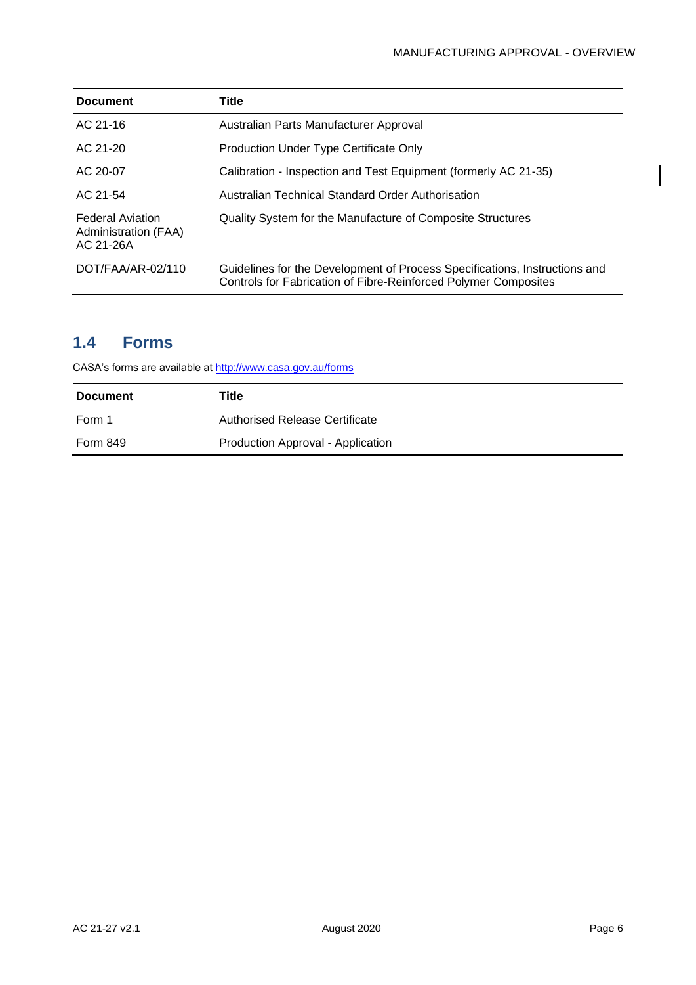| <b>Document</b>                                              | Title                                                                                                                                         |
|--------------------------------------------------------------|-----------------------------------------------------------------------------------------------------------------------------------------------|
| AC 21-16                                                     | Australian Parts Manufacturer Approval                                                                                                        |
| AC 21-20                                                     | <b>Production Under Type Certificate Only</b>                                                                                                 |
| AC 20-07                                                     | Calibration - Inspection and Test Equipment (formerly AC 21-35)                                                                               |
| AC 21-54                                                     | Australian Technical Standard Order Authorisation                                                                                             |
| <b>Federal Aviation</b><br>Administration (FAA)<br>AC 21-26A | Quality System for the Manufacture of Composite Structures                                                                                    |
| DOT/FAA/AR-02/110                                            | Guidelines for the Development of Process Specifications, Instructions and<br>Controls for Fabrication of Fibre-Reinforced Polymer Composites |

## <span id="page-6-0"></span>**1.4 Forms**

CASA's forms are available at<http://www.casa.gov.au/forms>

| <b>Document</b> | Title                             |
|-----------------|-----------------------------------|
| Form 1          | Authorised Release Certificate    |
| <b>Form 849</b> | Production Approval - Application |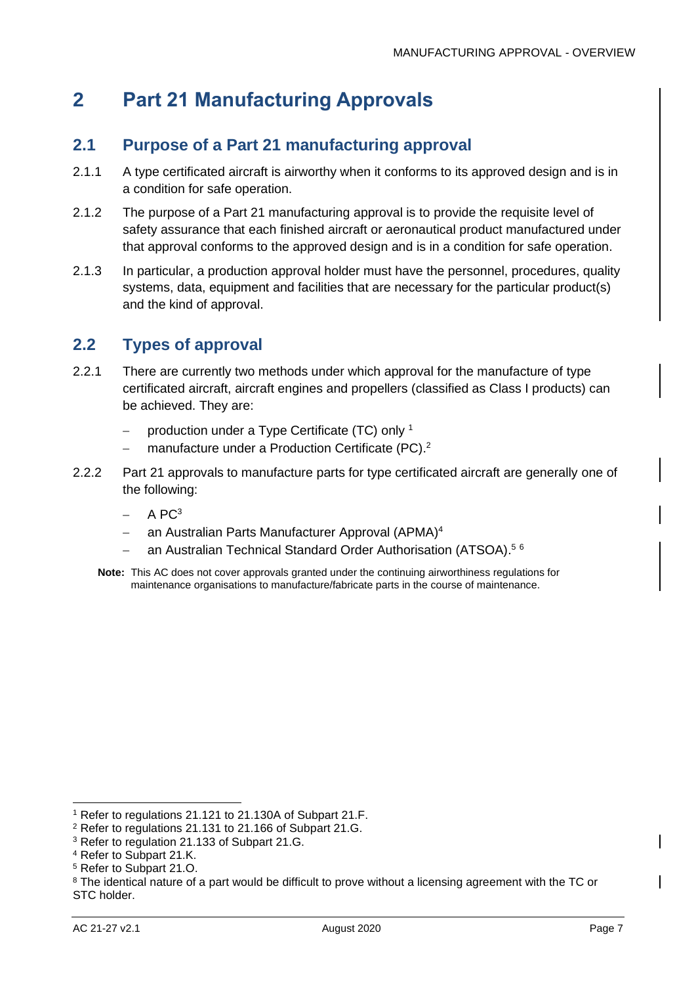## <span id="page-7-0"></span>**2 Part 21 Manufacturing Approvals**

## <span id="page-7-1"></span>**2.1 Purpose of a Part 21 manufacturing approval**

- 2.1.1 A type certificated aircraft is airworthy when it conforms to its approved design and is in a condition for safe operation.
- 2.1.2 The purpose of a Part 21 manufacturing approval is to provide the requisite level of safety assurance that each finished aircraft or aeronautical product manufactured under that approval conforms to the approved design and is in a condition for safe operation.
- 2.1.3 In particular, a production approval holder must have the personnel, procedures, quality systems, data, equipment and facilities that are necessary for the particular product(s) and the kind of approval.

## <span id="page-7-2"></span>**2.2 Types of approval**

- 2.2.1 There are currently two methods under which approval for the manufacture of type certificated aircraft, aircraft engines and propellers (classified as Class I products) can be achieved. They are:
	- − production under a Type Certificate (TC) only <sup>1</sup>
	- − manufacture under a Production Certificate (PC).<sup>2</sup>
- 2.2.2 Part 21 approvals to manufacture parts for type certificated aircraft are generally one of the following:
	- $-$  A PC<sup>3</sup>
	- an Australian Parts Manufacturer Approval (APMA)<sup>4</sup>
	- − an Australian Technical Standard Order Authorisation (ATSOA).<sup>56</sup>
	- **Note:** This AC does not cover approvals granted under the continuing airworthiness regulations for maintenance organisations to manufacture/fabricate parts in the course of maintenance.

<sup>1</sup> Refer to regulations 21.121 to 21.130A of Subpart 21.F.

<sup>2</sup> Refer to regulations 21.131 to 21.166 of Subpart 21.G.

<sup>3</sup> Refer to regulation 21.133 of Subpart 21.G.

<sup>4</sup> Refer to Subpart 21.K.

<sup>5</sup> Refer to Subpart 21.O.

<sup>&</sup>lt;sup>8</sup> The identical nature of a part would be difficult to prove without a licensing agreement with the TC or STC holder.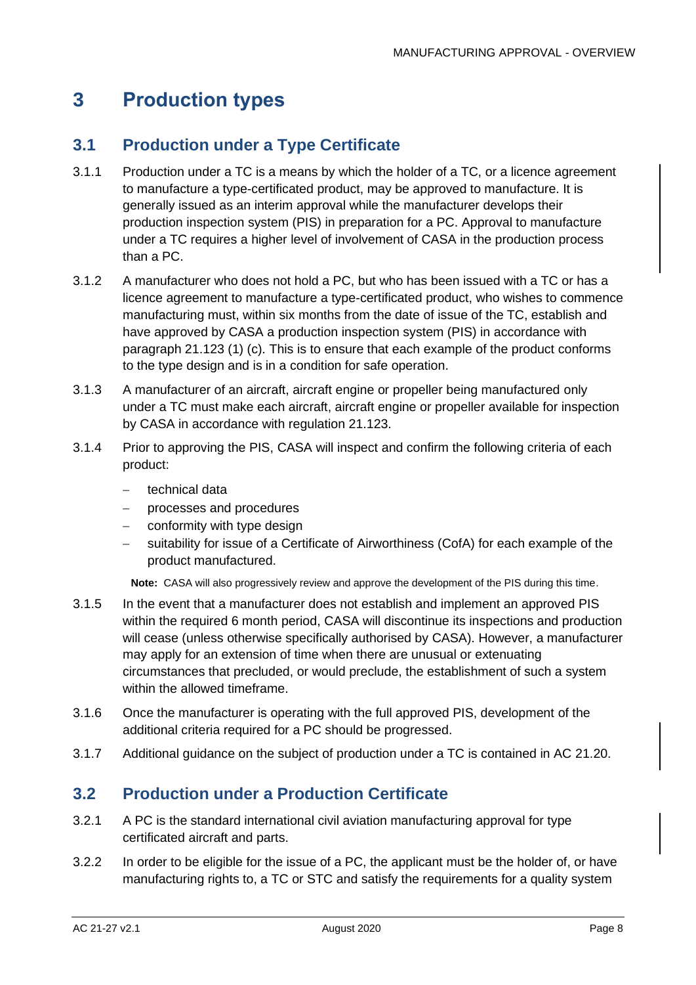## <span id="page-8-0"></span>**3 Production types**

## <span id="page-8-1"></span>**3.1 Production under a Type Certificate**

- 3.1.1 Production under a TC is a means by which the holder of a TC, or a licence agreement to manufacture a type-certificated product, may be approved to manufacture. It is generally issued as an interim approval while the manufacturer develops their production inspection system (PIS) in preparation for a PC. Approval to manufacture under a TC requires a higher level of involvement of CASA in the production process than a PC.
- 3.1.2 A manufacturer who does not hold a PC, but who has been issued with a TC or has a licence agreement to manufacture a type-certificated product, who wishes to commence manufacturing must, within six months from the date of issue of the TC, establish and have approved by CASA a production inspection system (PIS) in accordance with paragraph 21.123 (1) (c). This is to ensure that each example of the product conforms to the type design and is in a condition for safe operation.
- 3.1.3 A manufacturer of an aircraft, aircraft engine or propeller being manufactured only under a TC must make each aircraft, aircraft engine or propeller available for inspection by CASA in accordance with regulation 21.123.
- 3.1.4 Prior to approving the PIS, CASA will inspect and confirm the following criteria of each product:
	- − technical data
	- − processes and procedures
	- conformity with type design
	- − suitability for issue of a Certificate of Airworthiness (CofA) for each example of the product manufactured.

**Note:** CASA will also progressively review and approve the development of the PIS during this time.

- 3.1.5 In the event that a manufacturer does not establish and implement an approved PIS within the required 6 month period, CASA will discontinue its inspections and production will cease (unless otherwise specifically authorised by CASA). However, a manufacturer may apply for an extension of time when there are unusual or extenuating circumstances that precluded, or would preclude, the establishment of such a system within the allowed timeframe.
- 3.1.6 Once the manufacturer is operating with the full approved PIS, development of the additional criteria required for a PC should be progressed.
- 3.1.7 Additional guidance on the subject of production under a TC is contained in AC 21.20.

## <span id="page-8-2"></span>**3.2 Production under a Production Certificate**

- 3.2.1 A PC is the standard international civil aviation manufacturing approval for type certificated aircraft and parts.
- 3.2.2 In order to be eligible for the issue of a PC, the applicant must be the holder of, or have manufacturing rights to, a TC or STC and satisfy the requirements for a quality system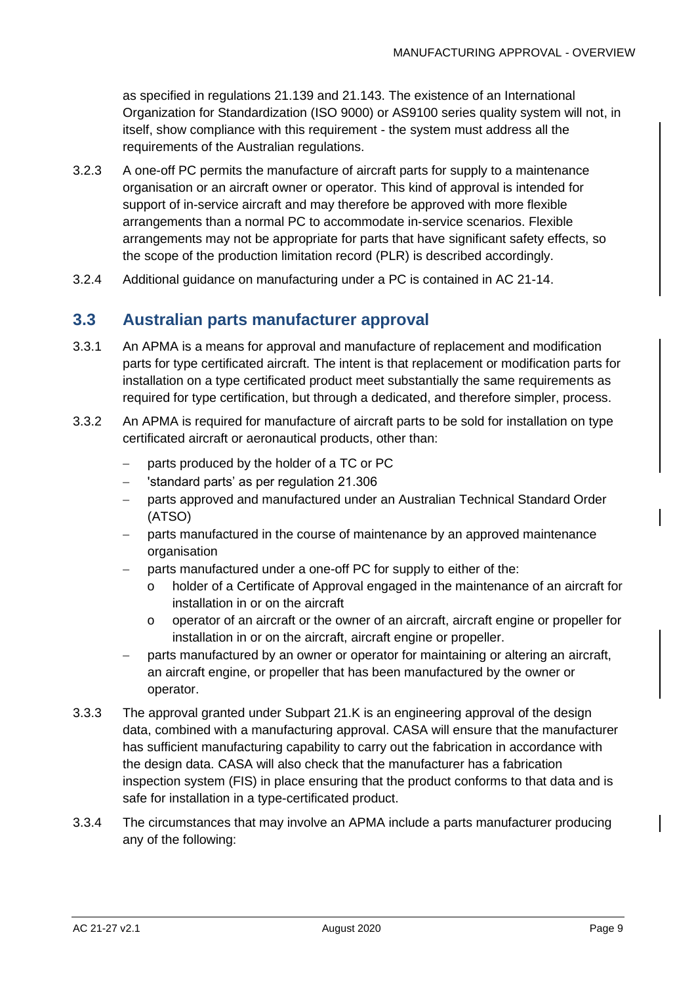as specified in regulations 21.139 and 21.143. The existence of an International Organization for Standardization (ISO 9000) or AS9100 series quality system will not, in itself, show compliance with this requirement - the system must address all the requirements of the Australian regulations.

- 3.2.3 A one-off PC permits the manufacture of aircraft parts for supply to a maintenance organisation or an aircraft owner or operator. This kind of approval is intended for support of in-service aircraft and may therefore be approved with more flexible arrangements than a normal PC to accommodate in-service scenarios. Flexible arrangements may not be appropriate for parts that have significant safety effects, so the scope of the production limitation record (PLR) is described accordingly.
- 3.2.4 Additional guidance on manufacturing under a PC is contained in AC 21-14.

### <span id="page-9-0"></span>**3.3 Australian parts manufacturer approval**

- 3.3.1 An APMA is a means for approval and manufacture of replacement and modification parts for type certificated aircraft. The intent is that replacement or modification parts for installation on a type certificated product meet substantially the same requirements as required for type certification, but through a dedicated, and therefore simpler, process.
- 3.3.2 An APMA is required for manufacture of aircraft parts to be sold for installation on type certificated aircraft or aeronautical products, other than:
	- parts produced by the holder of a TC or PC
	- − 'standard parts' as per regulation 21.306
	- − parts approved and manufactured under an Australian Technical Standard Order (ATSO)
	- − parts manufactured in the course of maintenance by an approved maintenance organisation
		- parts manufactured under a one-off PC for supply to either of the:
			- holder of a Certificate of Approval engaged in the maintenance of an aircraft for installation in or on the aircraft
			- o operator of an aircraft or the owner of an aircraft, aircraft engine or propeller for installation in or on the aircraft, aircraft engine or propeller.
	- parts manufactured by an owner or operator for maintaining or altering an aircraft, an aircraft engine, or propeller that has been manufactured by the owner or operator.
- 3.3.3 The approval granted under Subpart 21.K is an engineering approval of the design data, combined with a manufacturing approval. CASA will ensure that the manufacturer has sufficient manufacturing capability to carry out the fabrication in accordance with the design data. CASA will also check that the manufacturer has a fabrication inspection system (FIS) in place ensuring that the product conforms to that data and is safe for installation in a type-certificated product.
- 3.3.4 The circumstances that may involve an APMA include a parts manufacturer producing any of the following: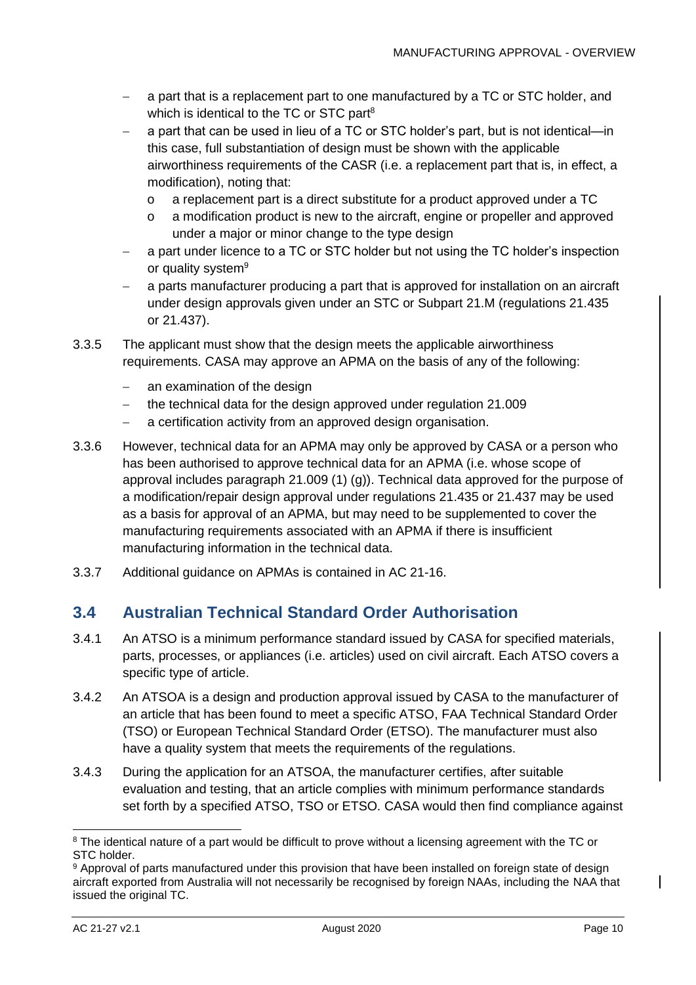- a part that is a replacement part to one manufactured by a TC or STC holder, and which is identical to the TC or STC part<sup>8</sup>
- − a part that can be used in lieu of a TC or STC holder's part, but is not identical—in this case, full substantiation of design must be shown with the applicable airworthiness requirements of the CASR (i.e. a replacement part that is, in effect, a modification), noting that:
	- o a replacement part is a direct substitute for a product approved under a TC
	- o a modification product is new to the aircraft, engine or propeller and approved under a major or minor change to the type design
- − a part under licence to a TC or STC holder but not using the TC holder's inspection or quality system<sup>9</sup>
- a parts manufacturer producing a part that is approved for installation on an aircraft under design approvals given under an STC or Subpart 21.M (regulations 21.435 or 21.437).
- 3.3.5 The applicant must show that the design meets the applicable airworthiness requirements. CASA may approve an APMA on the basis of any of the following:
	- an examination of the design
	- the technical data for the design approved under regulation 21.009
	- a certification activity from an approved design organisation.
- 3.3.6 However, technical data for an APMA may only be approved by CASA or a person who has been authorised to approve technical data for an APMA (i.e. whose scope of approval includes paragraph 21.009 (1) (g)). Technical data approved for the purpose of a modification/repair design approval under regulations 21.435 or 21.437 may be used as a basis for approval of an APMA, but may need to be supplemented to cover the manufacturing requirements associated with an APMA if there is insufficient manufacturing information in the technical data.
- 3.3.7 Additional guidance on APMAs is contained in AC 21-16.

### <span id="page-10-0"></span>**3.4 Australian Technical Standard Order Authorisation**

- 3.4.1 An ATSO is a minimum performance standard issued by CASA for specified materials, parts, processes, or appliances (i.e. articles) used on civil aircraft. Each ATSO covers a specific type of article.
- 3.4.2 An ATSOA is a design and production approval issued by CASA to the manufacturer of an article that has been found to meet a specific ATSO, FAA Technical Standard Order (TSO) or European Technical Standard Order (ETSO). The manufacturer must also have a quality system that meets the requirements of the regulations.
- 3.4.3 During the application for an ATSOA, the manufacturer certifies, after suitable evaluation and testing, that an article complies with minimum performance standards set forth by a specified ATSO, TSO or ETSO. CASA would then find compliance against

<sup>&</sup>lt;sup>8</sup> The identical nature of a part would be difficult to prove without a licensing agreement with the TC or STC holder.

<sup>9</sup> Approval of parts manufactured under this provision that have been installed on foreign state of design aircraft exported from Australia will not necessarily be recognised by foreign NAAs, including the NAA that issued the original TC.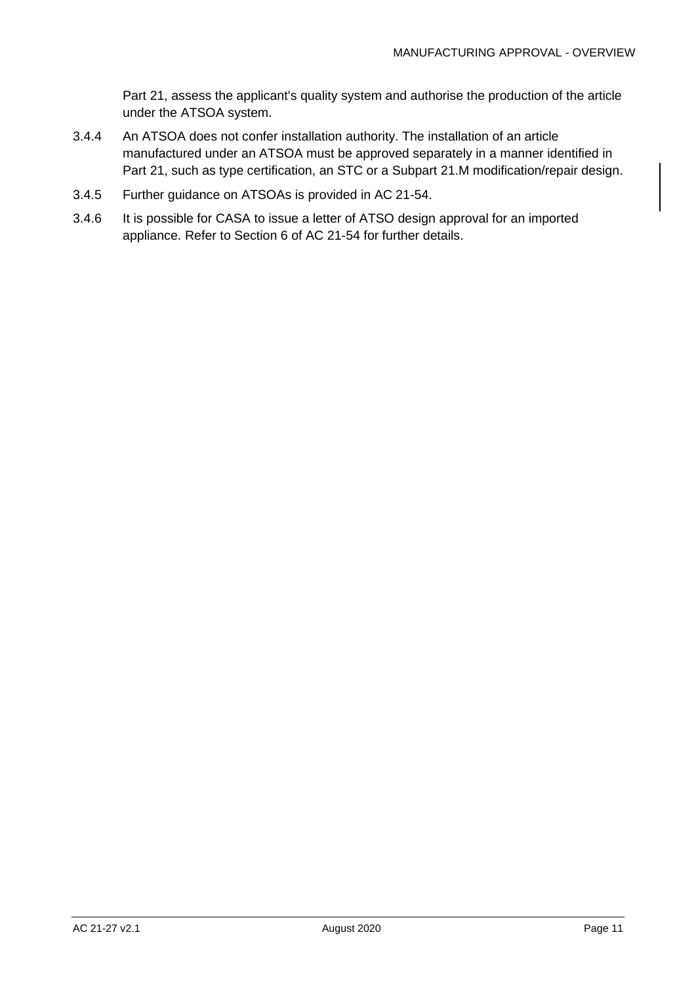Part 21, assess the applicant's quality system and authorise the production of the article under the ATSOA system.

- 3.4.4 An ATSOA does not confer installation authority. The installation of an article manufactured under an ATSOA must be approved separately in a manner identified in Part 21, such as type certification, an STC or a Subpart 21.M modification/repair design.
- 3.4.5 Further guidance on ATSOAs is provided in AC 21-54.
- 3.4.6 It is possible for CASA to issue a letter of ATSO design approval for an imported appliance. Refer to Section 6 of AC 21-54 for further details.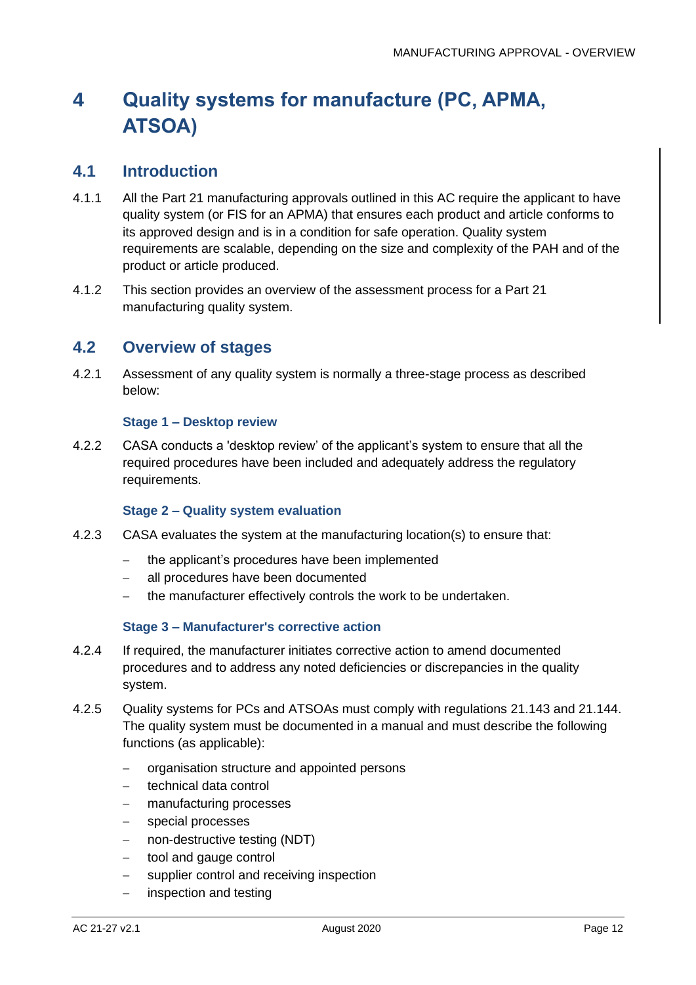## <span id="page-12-0"></span>**4 Quality systems for manufacture (PC, APMA, ATSOA)**

#### <span id="page-12-1"></span>**4.1 Introduction**

- 4.1.1 All the Part 21 manufacturing approvals outlined in this AC require the applicant to have quality system (or FIS for an APMA) that ensures each product and article conforms to its approved design and is in a condition for safe operation. Quality system requirements are scalable, depending on the size and complexity of the PAH and of the product or article produced.
- 4.1.2 This section provides an overview of the assessment process for a Part 21 manufacturing quality system.

#### <span id="page-12-2"></span>**4.2 Overview of stages**

4.2.1 Assessment of any quality system is normally a three-stage process as described below:

#### **Stage 1 – Desktop review**

4.2.2 CASA conducts a 'desktop review' of the applicant's system to ensure that all the required procedures have been included and adequately address the regulatory requirements.

#### **Stage 2 – Quality system evaluation**

- 4.2.3 CASA evaluates the system at the manufacturing location(s) to ensure that:
	- − the applicant's procedures have been implemented
	- all procedures have been documented
	- − the manufacturer effectively controls the work to be undertaken.

#### **Stage 3 – Manufacturer's corrective action**

- 4.2.4 If required, the manufacturer initiates corrective action to amend documented procedures and to address any noted deficiencies or discrepancies in the quality system.
- 4.2.5 Quality systems for PCs and ATSOAs must comply with regulations 21.143 and 21.144. The quality system must be documented in a manual and must describe the following functions (as applicable):
	- − organisation structure and appointed persons
	- − technical data control
	- − manufacturing processes
	- − special processes
	- − non-destructive testing (NDT)
	- − tool and gauge control
	- − supplier control and receiving inspection
	- inspection and testing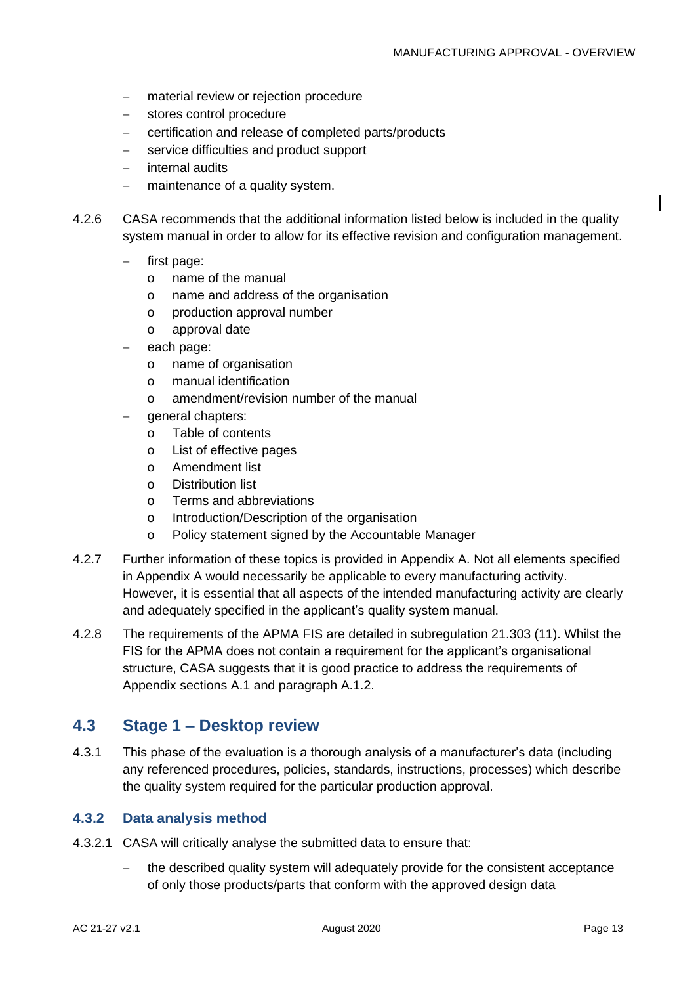- − material review or rejection procedure
- − stores control procedure
- − certification and release of completed parts/products
- − service difficulties and product support
- − internal audits
- − maintenance of a quality system.
- 4.2.6 CASA recommends that the additional information listed below is included in the quality system manual in order to allow for its effective revision and configuration management.
	- first page:
		- o name of the manual
		- o name and address of the organisation
		- o production approval number
		- o approval date
	- each page:
		- o name of organisation
		- o manual identification
		- o amendment/revision number of the manual
	- − general chapters:
		- o Table of contents
		- o List of effective pages
		- o Amendment list
		- o Distribution list
		- o Terms and abbreviations
		- o Introduction/Description of the organisation
		- o Policy statement signed by the Accountable Manager
- 4.2.7 Further information of these topics is provided in [Appendix A.](#page-16-0) Not all elements specified in [Appendix A](#page-16-0) would necessarily be applicable to every manufacturing activity. However, it is essential that all aspects of the intended manufacturing activity are clearly and adequately specified in the applicant's quality system manual.
- 4.2.8 The requirements of the APMA FIS are detailed in subregulation 21.303 (11). Whilst the FIS for the APMA does not contain a requirement for the applicant's organisational structure, CASA suggests that it is good practice to address the requirements of Appendix sections [A.1](#page-17-0) and paragraph [A.1.2.](#page-17-1)

#### <span id="page-13-0"></span>**4.3 Stage 1 – Desktop review**

4.3.1 This phase of the evaluation is a thorough analysis of a manufacturer's data (including any referenced procedures, policies, standards, instructions, processes) which describe the quality system required for the particular production approval.

#### **4.3.2 Data analysis method**

- 4.3.2.1 CASA will critically analyse the submitted data to ensure that:
	- the described quality system will adequately provide for the consistent acceptance of only those products/parts that conform with the approved design data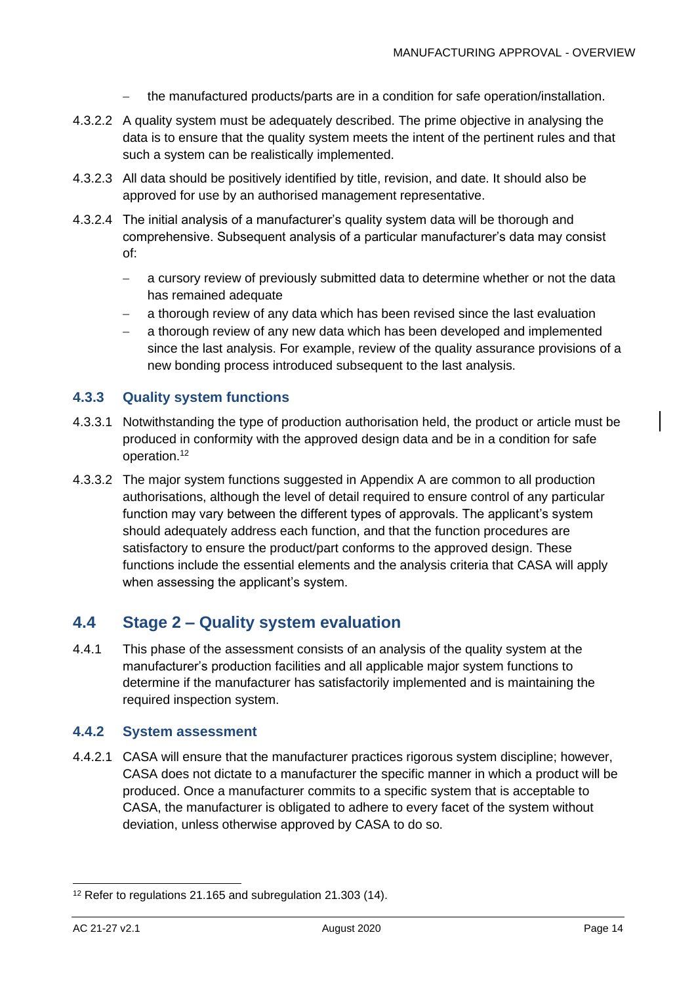- − the manufactured products/parts are in a condition for safe operation/installation.
- 4.3.2.2 A quality system must be adequately described. The prime objective in analysing the data is to ensure that the quality system meets the intent of the pertinent rules and that such a system can be realistically implemented.
- 4.3.2.3 All data should be positively identified by title, revision, and date. It should also be approved for use by an authorised management representative.
- 4.3.2.4 The initial analysis of a manufacturer's quality system data will be thorough and comprehensive. Subsequent analysis of a particular manufacturer's data may consist of:
	- − a cursory review of previously submitted data to determine whether or not the data has remained adequate
	- a thorough review of any data which has been revised since the last evaluation
	- − a thorough review of any new data which has been developed and implemented since the last analysis. For example, review of the quality assurance provisions of a new bonding process introduced subsequent to the last analysis.

#### **4.3.3 Quality system functions**

- 4.3.3.1 Notwithstanding the type of production authorisation held, the product or article must be produced in conformity with the approved design data and be in a condition for safe operation.<sup>12</sup>
- 4.3.3.2 The major system functions suggested in [Appendix A](#page-16-0) are common to all production authorisations, although the level of detail required to ensure control of any particular function may vary between the different types of approvals. The applicant's system should adequately address each function, and that the function procedures are satisfactory to ensure the product/part conforms to the approved design. These functions include the essential elements and the analysis criteria that CASA will apply when assessing the applicant's system.

### <span id="page-14-0"></span>**4.4 Stage 2 – Quality system evaluation**

4.4.1 This phase of the assessment consists of an analysis of the quality system at the manufacturer's production facilities and all applicable major system functions to determine if the manufacturer has satisfactorily implemented and is maintaining the required inspection system.

#### **4.4.2 System assessment**

4.4.2.1 CASA will ensure that the manufacturer practices rigorous system discipline; however, CASA does not dictate to a manufacturer the specific manner in which a product will be produced. Once a manufacturer commits to a specific system that is acceptable to CASA, the manufacturer is obligated to adhere to every facet of the system without deviation, unless otherwise approved by CASA to do so.

<sup>&</sup>lt;sup>12</sup> Refer to regulations 21.165 and subregulation 21.303 (14).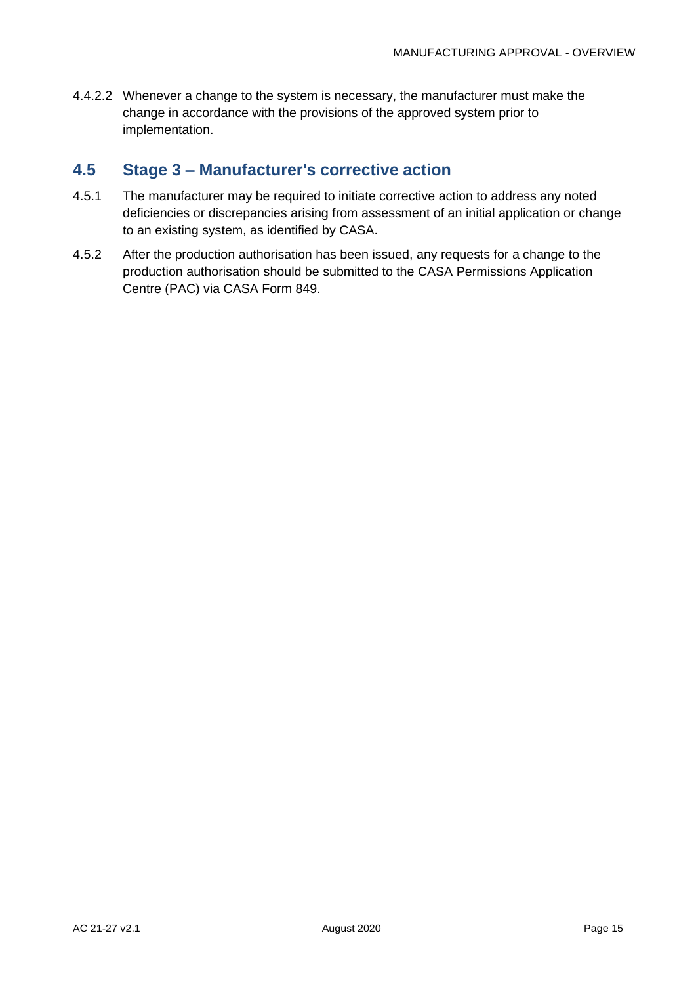4.4.2.2 Whenever a change to the system is necessary, the manufacturer must make the change in accordance with the provisions of the approved system prior to implementation.

## <span id="page-15-0"></span>**4.5 Stage 3 – Manufacturer's corrective action**

- 4.5.1 The manufacturer may be required to initiate corrective action to address any noted deficiencies or discrepancies arising from assessment of an initial application or change to an existing system, as identified by CASA.
- 4.5.2 After the production authorisation has been issued, any requests for a change to the production authorisation should be submitted to the CASA Permissions Application Centre (PAC) via CASA Form 849.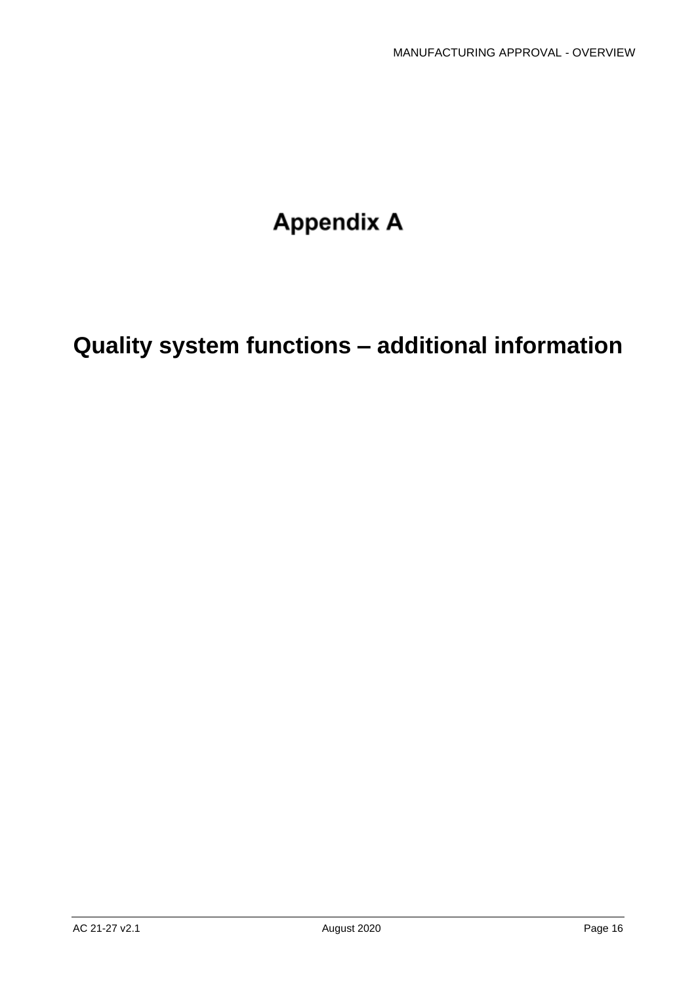# **Appendix A**

# <span id="page-16-0"></span>**Quality system functions – additional information**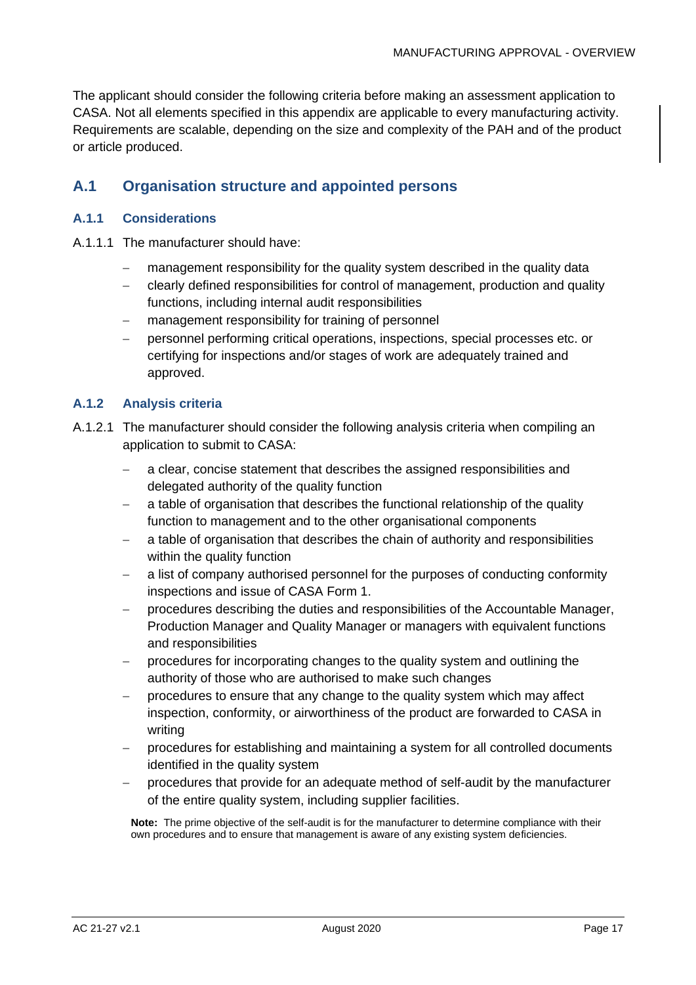The applicant should consider the following criteria before making an assessment application to CASA. Not all elements specified in this appendix are applicable to every manufacturing activity. Requirements are scalable, depending on the size and complexity of the PAH and of the product or article produced.

#### <span id="page-17-0"></span>**A.1 Organisation structure and appointed persons**

#### **A.1.1 Considerations**

- A.1.1.1 The manufacturer should have:
	- management responsibility for the quality system described in the quality data
	- − clearly defined responsibilities for control of management, production and quality functions, including internal audit responsibilities
	- management responsibility for training of personnel
	- personnel performing critical operations, inspections, special processes etc. or certifying for inspections and/or stages of work are adequately trained and approved.

#### <span id="page-17-1"></span>**A.1.2 Analysis criteria**

- A.1.2.1 The manufacturer should consider the following analysis criteria when compiling an application to submit to CASA:
	- − a clear, concise statement that describes the assigned responsibilities and delegated authority of the quality function
	- − a table of organisation that describes the functional relationship of the quality function to management and to the other organisational components
	- a table of organisation that describes the chain of authority and responsibilities within the quality function
	- − a list of company authorised personnel for the purposes of conducting conformity inspections and issue of CASA Form 1.
	- − procedures describing the duties and responsibilities of the Accountable Manager, Production Manager and Quality Manager or managers with equivalent functions and responsibilities
	- − procedures for incorporating changes to the quality system and outlining the authority of those who are authorised to make such changes
	- − procedures to ensure that any change to the quality system which may affect inspection, conformity, or airworthiness of the product are forwarded to CASA in writing
	- procedures for establishing and maintaining a system for all controlled documents identified in the quality system
	- procedures that provide for an adequate method of self-audit by the manufacturer of the entire quality system, including supplier facilities.

**Note:** The prime objective of the self-audit is for the manufacturer to determine compliance with their own procedures and to ensure that management is aware of any existing system deficiencies.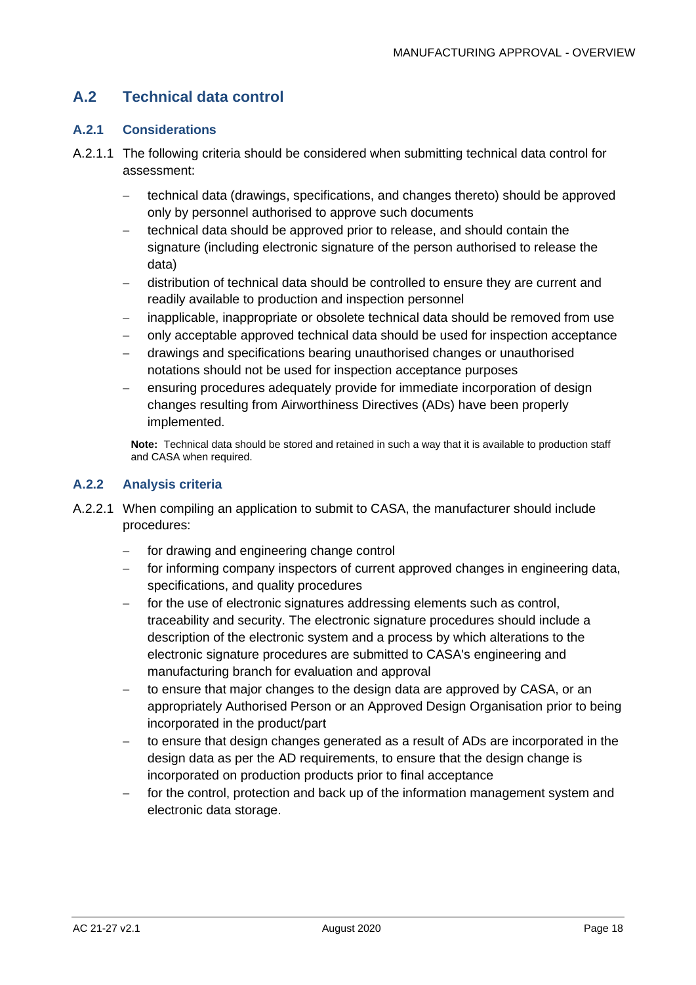### **A.2 Technical data control**

#### **A.2.1 Considerations**

- A.2.1.1 The following criteria should be considered when submitting technical data control for assessment:
	- − technical data (drawings, specifications, and changes thereto) should be approved only by personnel authorised to approve such documents
	- technical data should be approved prior to release, and should contain the signature (including electronic signature of the person authorised to release the data)
	- − distribution of technical data should be controlled to ensure they are current and readily available to production and inspection personnel
	- − inapplicable, inappropriate or obsolete technical data should be removed from use
	- − only acceptable approved technical data should be used for inspection acceptance
	- − drawings and specifications bearing unauthorised changes or unauthorised notations should not be used for inspection acceptance purposes
	- ensuring procedures adequately provide for immediate incorporation of design changes resulting from Airworthiness Directives (ADs) have been properly implemented.

**Note:** Technical data should be stored and retained in such a way that it is available to production staff and CASA when required.

#### **A.2.2 Analysis criteria**

- A.2.2.1 When compiling an application to submit to CASA, the manufacturer should include procedures:
	- for drawing and engineering change control
	- − for informing company inspectors of current approved changes in engineering data, specifications, and quality procedures
	- for the use of electronic signatures addressing elements such as control, traceability and security. The electronic signature procedures should include a description of the electronic system and a process by which alterations to the electronic signature procedures are submitted to CASA's engineering and manufacturing branch for evaluation and approval
	- to ensure that major changes to the design data are approved by CASA, or an appropriately Authorised Person or an Approved Design Organisation prior to being incorporated in the product/part
	- to ensure that design changes generated as a result of ADs are incorporated in the design data as per the AD requirements, to ensure that the design change is incorporated on production products prior to final acceptance
	- for the control, protection and back up of the information management system and electronic data storage.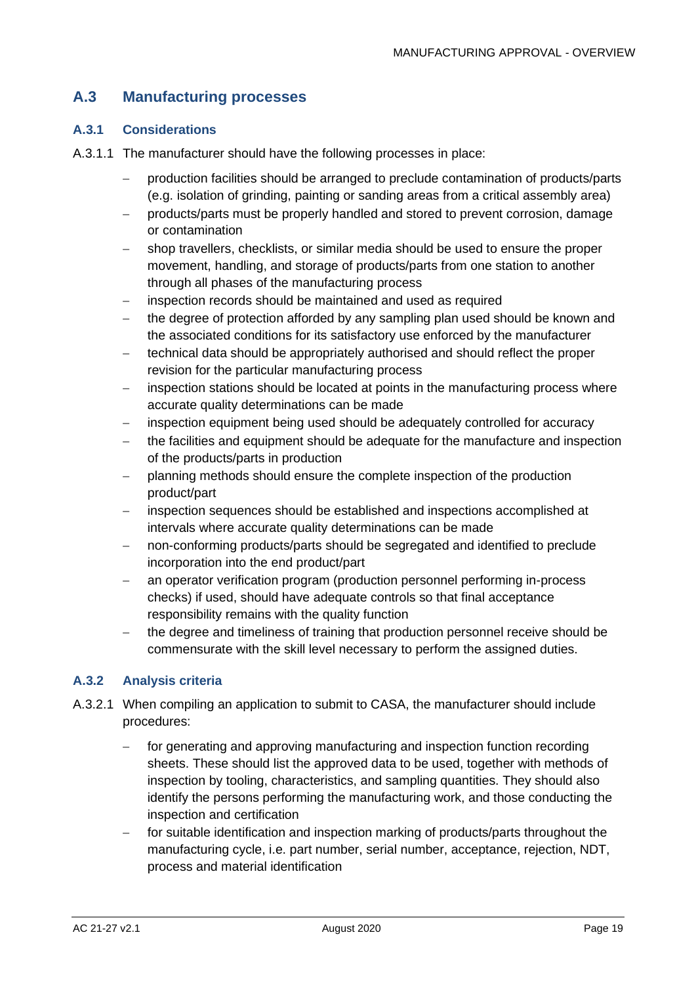### **A.3 Manufacturing processes**

#### **A.3.1 Considerations**

- A.3.1.1 The manufacturer should have the following processes in place:
	- − production facilities should be arranged to preclude contamination of products/parts (e.g. isolation of grinding, painting or sanding areas from a critical assembly area)
	- − products/parts must be properly handled and stored to prevent corrosion, damage or contamination
	- − shop travellers, checklists, or similar media should be used to ensure the proper movement, handling, and storage of products/parts from one station to another through all phases of the manufacturing process
	- inspection records should be maintained and used as required
	- − the degree of protection afforded by any sampling plan used should be known and the associated conditions for its satisfactory use enforced by the manufacturer
	- technical data should be appropriately authorised and should reflect the proper revision for the particular manufacturing process
	- − inspection stations should be located at points in the manufacturing process where accurate quality determinations can be made
	- − inspection equipment being used should be adequately controlled for accuracy
	- the facilities and equipment should be adequate for the manufacture and inspection of the products/parts in production
	- − planning methods should ensure the complete inspection of the production product/part
	- − inspection sequences should be established and inspections accomplished at intervals where accurate quality determinations can be made
	- non-conforming products/parts should be segregated and identified to preclude incorporation into the end product/part
	- − an operator verification program (production personnel performing in-process checks) if used, should have adequate controls so that final acceptance responsibility remains with the quality function
	- − the degree and timeliness of training that production personnel receive should be commensurate with the skill level necessary to perform the assigned duties.

#### **A.3.2 Analysis criteria**

- A.3.2.1 When compiling an application to submit to CASA, the manufacturer should include procedures:
	- for generating and approving manufacturing and inspection function recording sheets. These should list the approved data to be used, together with methods of inspection by tooling, characteristics, and sampling quantities. They should also identify the persons performing the manufacturing work, and those conducting the inspection and certification
	- − for suitable identification and inspection marking of products/parts throughout the manufacturing cycle, i.e. part number, serial number, acceptance, rejection, NDT, process and material identification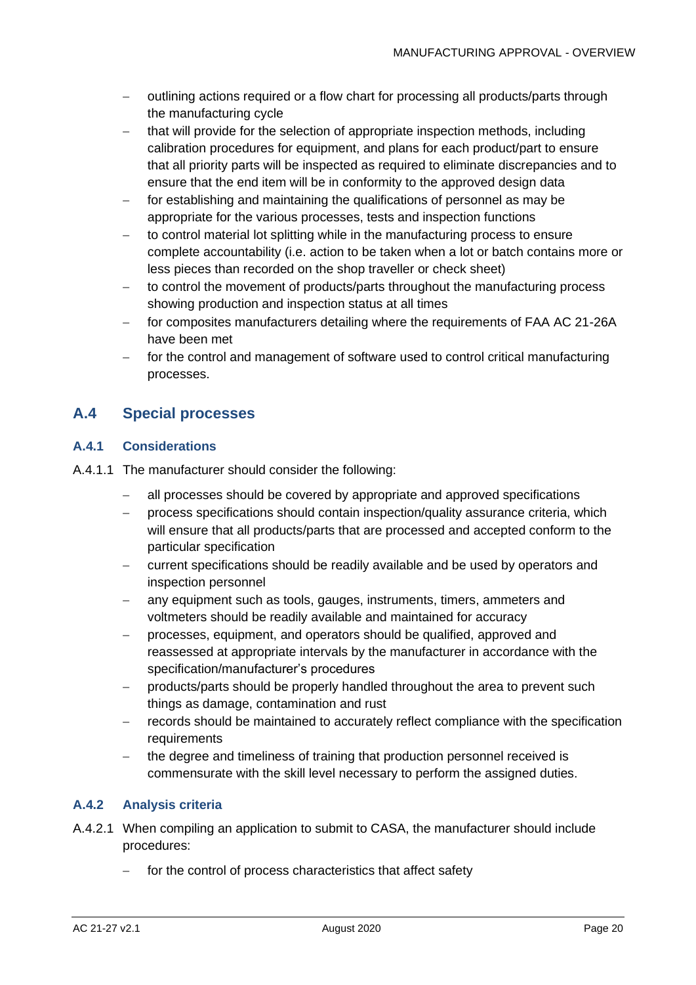- − outlining actions required or a flow chart for processing all products/parts through the manufacturing cycle
- that will provide for the selection of appropriate inspection methods, including calibration procedures for equipment, and plans for each product/part to ensure that all priority parts will be inspected as required to eliminate discrepancies and to ensure that the end item will be in conformity to the approved design data
- − for establishing and maintaining the qualifications of personnel as may be appropriate for the various processes, tests and inspection functions
- to control material lot splitting while in the manufacturing process to ensure complete accountability (i.e. action to be taken when a lot or batch contains more or less pieces than recorded on the shop traveller or check sheet)
- to control the movement of products/parts throughout the manufacturing process showing production and inspection status at all times
- for composites manufacturers detailing where the requirements of FAA AC 21-26A have been met
- − for the control and management of software used to control critical manufacturing processes.

#### **A.4 Special processes**

#### **A.4.1 Considerations**

- A.4.1.1 The manufacturer should consider the following:
	- − all processes should be covered by appropriate and approved specifications
	- − process specifications should contain inspection/quality assurance criteria, which will ensure that all products/parts that are processed and accepted conform to the particular specification
	- − current specifications should be readily available and be used by operators and inspection personnel
	- − any equipment such as tools, gauges, instruments, timers, ammeters and voltmeters should be readily available and maintained for accuracy
	- − processes, equipment, and operators should be qualified, approved and reassessed at appropriate intervals by the manufacturer in accordance with the specification/manufacturer's procedures
	- − products/parts should be properly handled throughout the area to prevent such things as damage, contamination and rust
	- records should be maintained to accurately reflect compliance with the specification **requirements**
	- − the degree and timeliness of training that production personnel received is commensurate with the skill level necessary to perform the assigned duties.

#### **A.4.2 Analysis criteria**

- A.4.2.1 When compiling an application to submit to CASA, the manufacturer should include procedures:
	- for the control of process characteristics that affect safety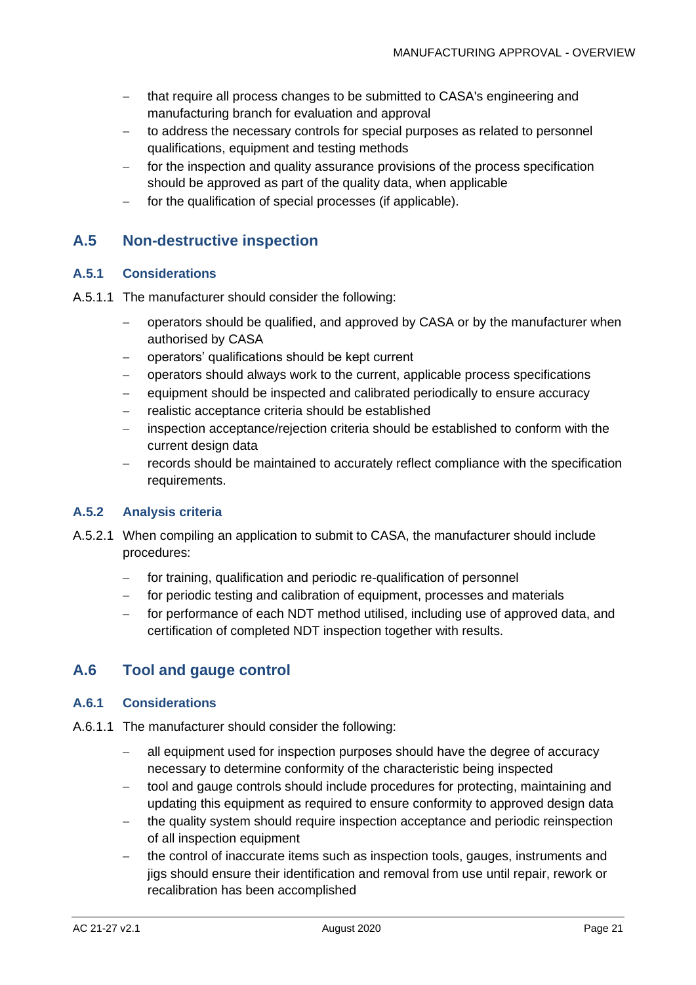- − that require all process changes to be submitted to CASA's engineering and manufacturing branch for evaluation and approval
- to address the necessary controls for special purposes as related to personnel qualifications, equipment and testing methods
- − for the inspection and quality assurance provisions of the process specification should be approved as part of the quality data, when applicable
- − for the qualification of special processes (if applicable).

#### **A.5 Non-destructive inspection**

#### **A.5.1 Considerations**

- A.5.1.1 The manufacturer should consider the following:
	- − operators should be qualified, and approved by CASA or by the manufacturer when authorised by CASA
	- − operators' qualifications should be kept current
	- − operators should always work to the current, applicable process specifications
	- − equipment should be inspected and calibrated periodically to ensure accuracy
	- − realistic acceptance criteria should be established
	- − inspection acceptance/rejection criteria should be established to conform with the current design data
	- − records should be maintained to accurately reflect compliance with the specification requirements.

#### **A.5.2 Analysis criteria**

- A.5.2.1 When compiling an application to submit to CASA, the manufacturer should include procedures:
	- for training, qualification and periodic re-qualification of personnel
	- − for periodic testing and calibration of equipment, processes and materials
	- − for performance of each NDT method utilised, including use of approved data, and certification of completed NDT inspection together with results.

#### **A.6 Tool and gauge control**

#### **A.6.1 Considerations**

- A.6.1.1 The manufacturer should consider the following:
	- − all equipment used for inspection purposes should have the degree of accuracy necessary to determine conformity of the characteristic being inspected
	- − tool and gauge controls should include procedures for protecting, maintaining and updating this equipment as required to ensure conformity to approved design data
	- − the quality system should require inspection acceptance and periodic reinspection of all inspection equipment
	- − the control of inaccurate items such as inspection tools, gauges, instruments and jigs should ensure their identification and removal from use until repair, rework or recalibration has been accomplished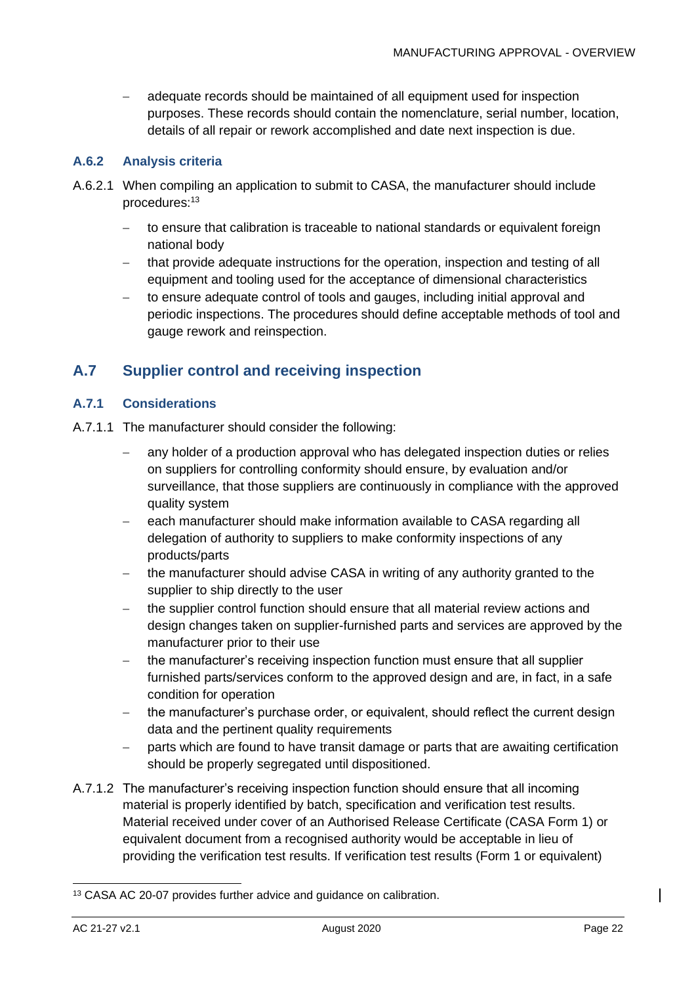adequate records should be maintained of all equipment used for inspection purposes. These records should contain the nomenclature, serial number, location, details of all repair or rework accomplished and date next inspection is due.

#### **A.6.2 Analysis criteria**

- A.6.2.1 When compiling an application to submit to CASA, the manufacturer should include procedures:<sup>13</sup>
	- − to ensure that calibration is traceable to national standards or equivalent foreign national body
	- that provide adequate instructions for the operation, inspection and testing of all equipment and tooling used for the acceptance of dimensional characteristics
	- − to ensure adequate control of tools and gauges, including initial approval and periodic inspections. The procedures should define acceptable methods of tool and gauge rework and reinspection.

#### **A.7 Supplier control and receiving inspection**

#### **A.7.1 Considerations**

- A.7.1.1 The manufacturer should consider the following:
	- any holder of a production approval who has delegated inspection duties or relies on suppliers for controlling conformity should ensure, by evaluation and/or surveillance, that those suppliers are continuously in compliance with the approved quality system
	- − each manufacturer should make information available to CASA regarding all delegation of authority to suppliers to make conformity inspections of any products/parts
	- − the manufacturer should advise CASA in writing of any authority granted to the supplier to ship directly to the user
	- − the supplier control function should ensure that all material review actions and design changes taken on supplier-furnished parts and services are approved by the manufacturer prior to their use
	- − the manufacturer's receiving inspection function must ensure that all supplier furnished parts/services conform to the approved design and are, in fact, in a safe condition for operation
	- − the manufacturer's purchase order, or equivalent, should reflect the current design data and the pertinent quality requirements
	- parts which are found to have transit damage or parts that are awaiting certification should be properly segregated until dispositioned.
- A.7.1.2 The manufacturer's receiving inspection function should ensure that all incoming material is properly identified by batch, specification and verification test results. Material received under cover of an Authorised Release Certificate (CASA Form 1) or equivalent document from a recognised authority would be acceptable in lieu of providing the verification test results. If verification test results (Form 1 or equivalent)

<sup>13</sup> CASA AC 20-07 provides further advice and guidance on calibration.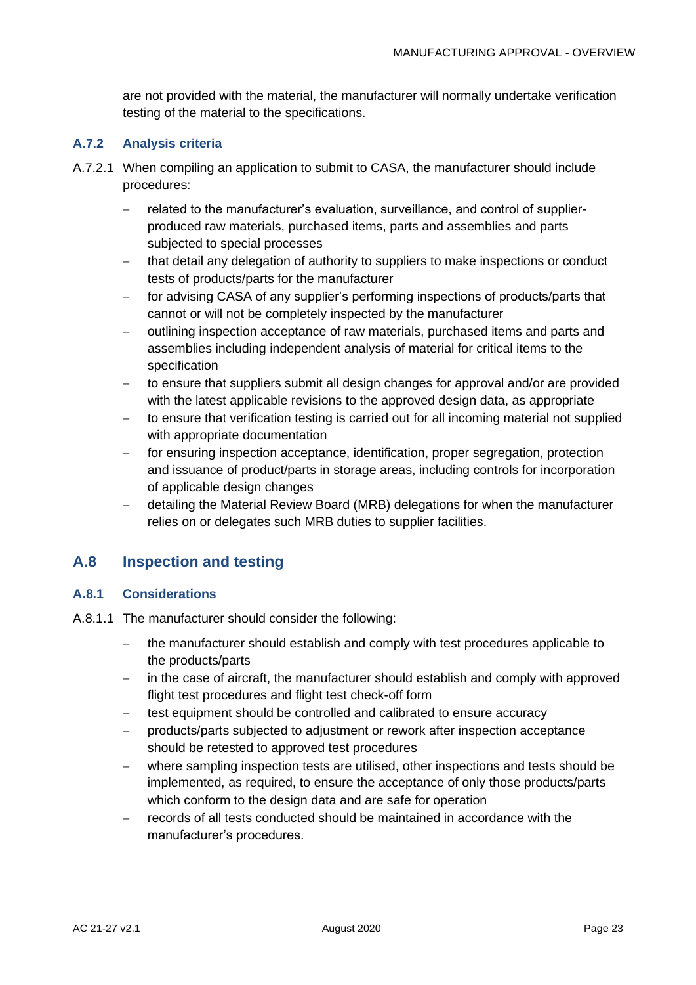are not provided with the material, the manufacturer will normally undertake verification testing of the material to the specifications.

#### **A.7.2 Analysis criteria**

- A.7.2.1 When compiling an application to submit to CASA, the manufacturer should include procedures:
	- − related to the manufacturer's evaluation, surveillance, and control of supplierproduced raw materials, purchased items, parts and assemblies and parts subjected to special processes
	- that detail any delegation of authority to suppliers to make inspections or conduct tests of products/parts for the manufacturer
	- for advising CASA of any supplier's performing inspections of products/parts that cannot or will not be completely inspected by the manufacturer
	- − outlining inspection acceptance of raw materials, purchased items and parts and assemblies including independent analysis of material for critical items to the specification
	- − to ensure that suppliers submit all design changes for approval and/or are provided with the latest applicable revisions to the approved design data, as appropriate
	- − to ensure that verification testing is carried out for all incoming material not supplied with appropriate documentation
	- − for ensuring inspection acceptance, identification, proper segregation, protection and issuance of product/parts in storage areas, including controls for incorporation of applicable design changes
	- − detailing the Material Review Board (MRB) delegations for when the manufacturer relies on or delegates such MRB duties to supplier facilities.

#### **A.8 Inspection and testing**

#### **A.8.1 Considerations**

- A.8.1.1 The manufacturer should consider the following:
	- − the manufacturer should establish and comply with test procedures applicable to the products/parts
	- − in the case of aircraft, the manufacturer should establish and comply with approved flight test procedures and flight test check-off form
	- − test equipment should be controlled and calibrated to ensure accuracy
	- − products/parts subjected to adjustment or rework after inspection acceptance should be retested to approved test procedures
	- − where sampling inspection tests are utilised, other inspections and tests should be implemented, as required, to ensure the acceptance of only those products/parts which conform to the design data and are safe for operation
	- − records of all tests conducted should be maintained in accordance with the manufacturer's procedures.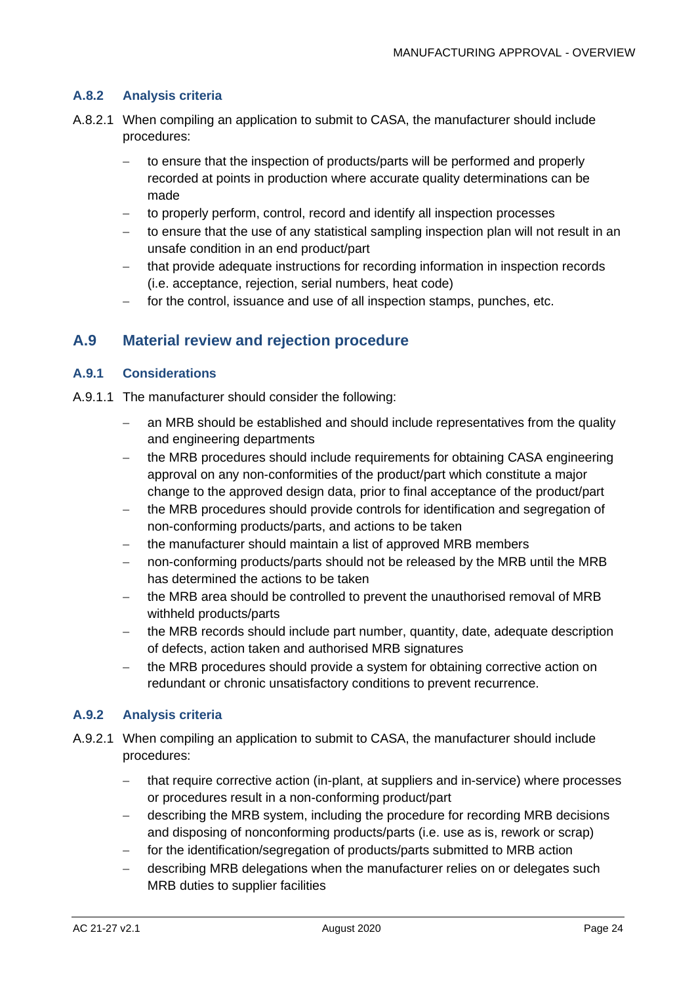#### **A.8.2 Analysis criteria**

- A.8.2.1 When compiling an application to submit to CASA, the manufacturer should include procedures:
	- − to ensure that the inspection of products/parts will be performed and properly recorded at points in production where accurate quality determinations can be made
	- − to properly perform, control, record and identify all inspection processes
	- to ensure that the use of any statistical sampling inspection plan will not result in an unsafe condition in an end product/part
	- − that provide adequate instructions for recording information in inspection records (i.e. acceptance, rejection, serial numbers, heat code)
	- − for the control, issuance and use of all inspection stamps, punches, etc.

#### **A.9 Material review and rejection procedure**

#### **A.9.1 Considerations**

- A.9.1.1 The manufacturer should consider the following:
	- − an MRB should be established and should include representatives from the quality and engineering departments
	- − the MRB procedures should include requirements for obtaining CASA engineering approval on any non-conformities of the product/part which constitute a major change to the approved design data, prior to final acceptance of the product/part
	- − the MRB procedures should provide controls for identification and segregation of non-conforming products/parts, and actions to be taken
	- − the manufacturer should maintain a list of approved MRB members
	- non-conforming products/parts should not be released by the MRB until the MRB has determined the actions to be taken
	- − the MRB area should be controlled to prevent the unauthorised removal of MRB withheld products/parts
	- the MRB records should include part number, quantity, date, adequate description of defects, action taken and authorised MRB signatures
	- − the MRB procedures should provide a system for obtaining corrective action on redundant or chronic unsatisfactory conditions to prevent recurrence.

#### **A.9.2 Analysis criteria**

- A.9.2.1 When compiling an application to submit to CASA, the manufacturer should include procedures:
	- − that require corrective action (in-plant, at suppliers and in-service) where processes or procedures result in a non-conforming product/part
	- − describing the MRB system, including the procedure for recording MRB decisions and disposing of nonconforming products/parts (i.e. use as is, rework or scrap)
	- for the identification/segregation of products/parts submitted to MRB action
	- − describing MRB delegations when the manufacturer relies on or delegates such MRB duties to supplier facilities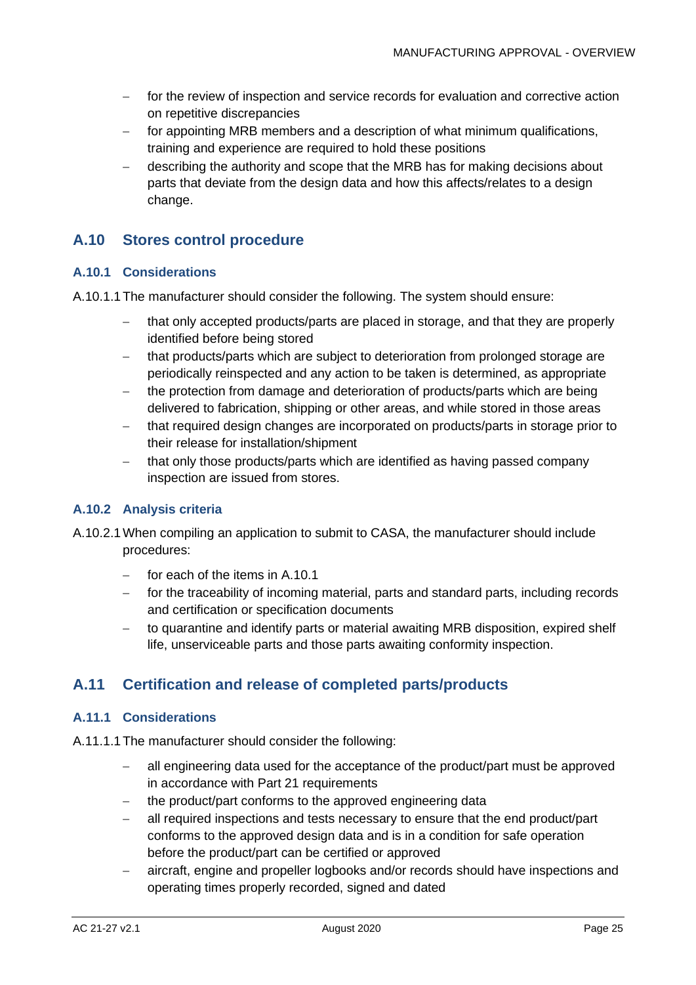- − for the review of inspection and service records for evaluation and corrective action on repetitive discrepancies
- for appointing MRB members and a description of what minimum qualifications, training and experience are required to hold these positions
- − describing the authority and scope that the MRB has for making decisions about parts that deviate from the design data and how this affects/relates to a design change.

### <span id="page-25-0"></span>**A.10 Stores control procedure**

#### **A.10.1 Considerations**

A.10.1.1The manufacturer should consider the following. The system should ensure:

- − that only accepted products/parts are placed in storage, and that they are properly identified before being stored
- − that products/parts which are subject to deterioration from prolonged storage are periodically reinspected and any action to be taken is determined, as appropriate
- − the protection from damage and deterioration of products/parts which are being delivered to fabrication, shipping or other areas, and while stored in those areas
- − that required design changes are incorporated on products/parts in storage prior to their release for installation/shipment
- − that only those products/parts which are identified as having passed company inspection are issued from stores.

#### **A.10.2 Analysis criteria**

- A.10.2.1When compiling an application to submit to CASA, the manufacturer should include procedures:
	- for each of the items in [A.10.](#page-25-0)1
	- for the traceability of incoming material, parts and standard parts, including records and certification or specification documents
	- to quarantine and identify parts or material awaiting MRB disposition, expired shelf life, unserviceable parts and those parts awaiting conformity inspection.

### **A.11 Certification and release of completed parts/products**

#### **A.11.1 Considerations**

- A.11.1.1The manufacturer should consider the following:
	- − all engineering data used for the acceptance of the product/part must be approved in accordance with Part 21 requirements
	- the product/part conforms to the approved engineering data
	- − all required inspections and tests necessary to ensure that the end product/part conforms to the approved design data and is in a condition for safe operation before the product/part can be certified or approved
	- − aircraft, engine and propeller logbooks and/or records should have inspections and operating times properly recorded, signed and dated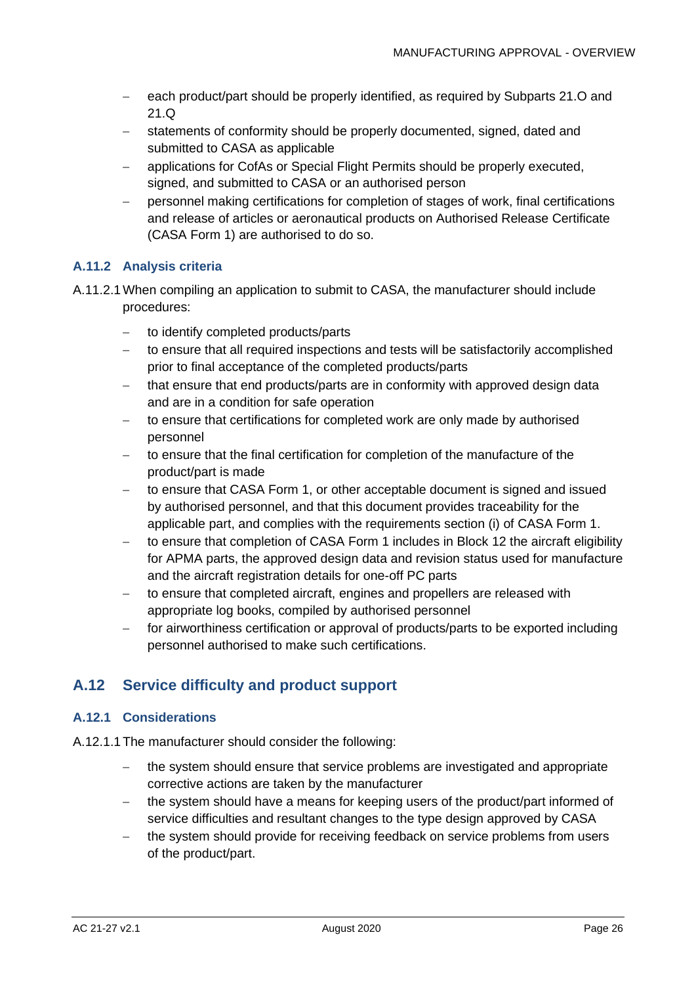- − each product/part should be properly identified, as required by Subparts 21.O and 21.Q
- statements of conformity should be properly documented, signed, dated and submitted to CASA as applicable
- applications for CofAs or Special Flight Permits should be properly executed, signed, and submitted to CASA or an authorised person
- − personnel making certifications for completion of stages of work, final certifications and release of articles or aeronautical products on Authorised Release Certificate (CASA Form 1) are authorised to do so.

#### **A.11.2 Analysis criteria**

- A.11.2.1When compiling an application to submit to CASA, the manufacturer should include procedures:
	- to identify completed products/parts
	- − to ensure that all required inspections and tests will be satisfactorily accomplished prior to final acceptance of the completed products/parts
	- that ensure that end products/parts are in conformity with approved design data and are in a condition for safe operation
	- to ensure that certifications for completed work are only made by authorised personnel
	- − to ensure that the final certification for completion of the manufacture of the product/part is made
	- − to ensure that CASA Form 1, or other acceptable document is signed and issued by authorised personnel, and that this document provides traceability for the applicable part, and complies with the requirements section (i) of CASA Form 1.
	- − to ensure that completion of CASA Form 1 includes in Block 12 the aircraft eligibility for APMA parts, the approved design data and revision status used for manufacture and the aircraft registration details for one-off PC parts
	- − to ensure that completed aircraft, engines and propellers are released with appropriate log books, compiled by authorised personnel
	- for airworthiness certification or approval of products/parts to be exported including personnel authorised to make such certifications.

### **A.12 Service difficulty and product support**

#### **A.12.1 Considerations**

- A.12.1.1The manufacturer should consider the following:
	- the system should ensure that service problems are investigated and appropriate corrective actions are taken by the manufacturer
	- the system should have a means for keeping users of the product/part informed of service difficulties and resultant changes to the type design approved by CASA
	- − the system should provide for receiving feedback on service problems from users of the product/part.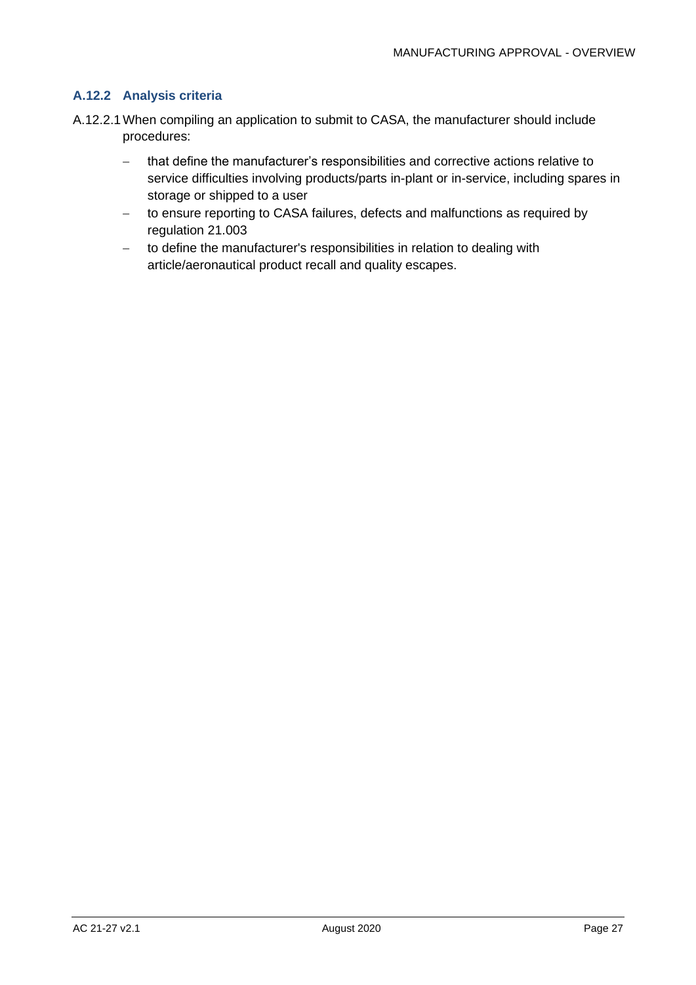#### **A.12.2 Analysis criteria**

- A.12.2.1When compiling an application to submit to CASA, the manufacturer should include procedures:
	- − that define the manufacturer's responsibilities and corrective actions relative to service difficulties involving products/parts in-plant or in-service, including spares in storage or shipped to a user
	- − to ensure reporting to CASA failures, defects and malfunctions as required by regulation 21.003
	- − to define the manufacturer's responsibilities in relation to dealing with article/aeronautical product recall and quality escapes.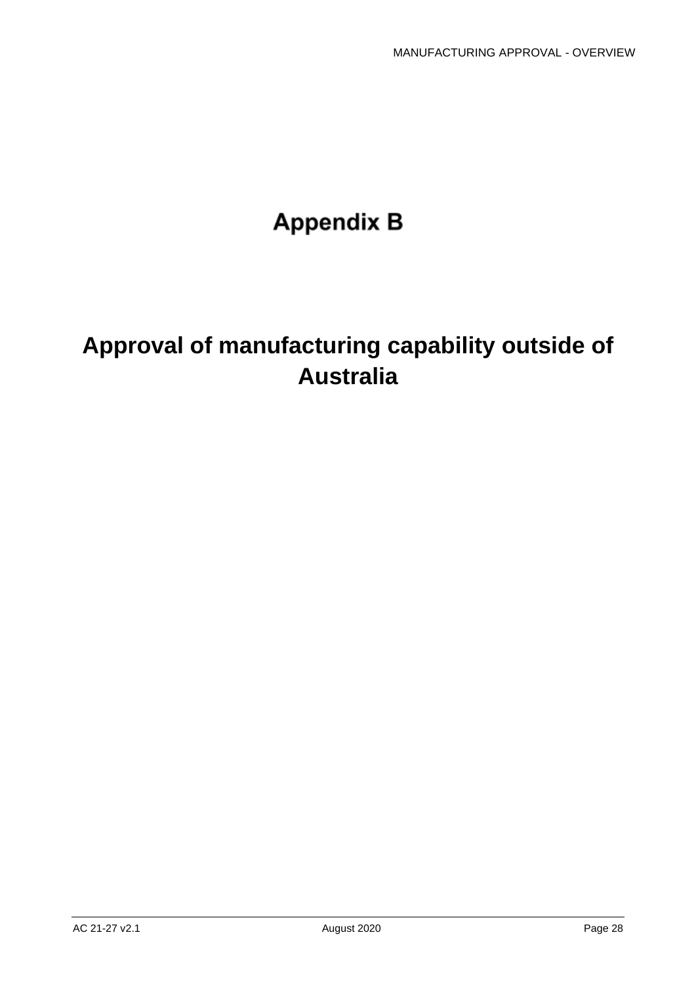# **Appendix B**

# **Approval of manufacturing capability outside of Australia**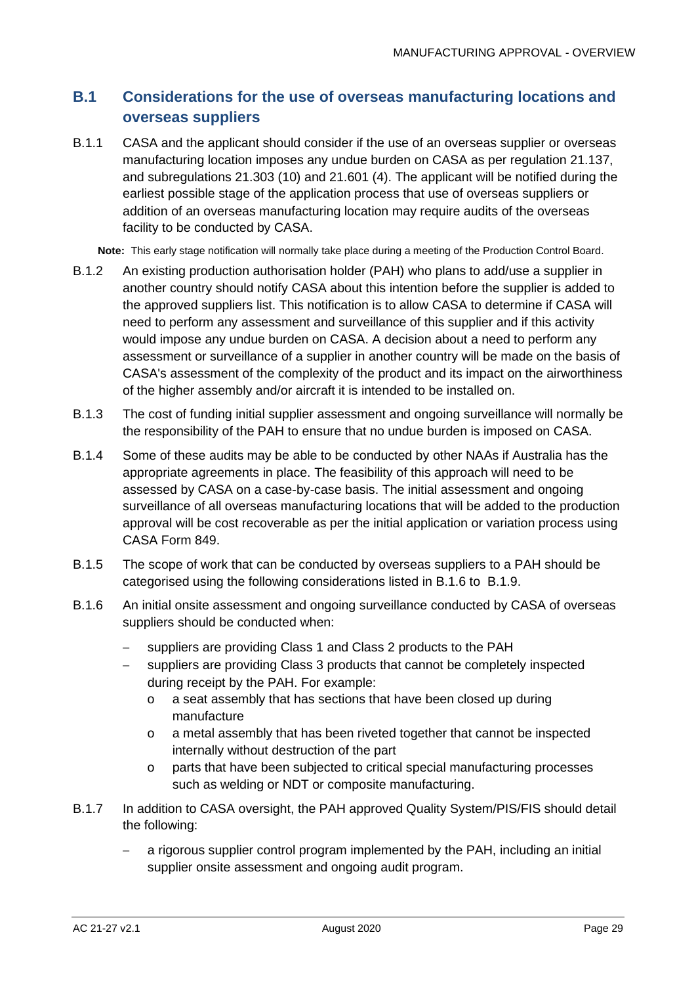## **B.1 Considerations for the use of overseas manufacturing locations and overseas suppliers**

B.1.1 CASA and the applicant should consider if the use of an overseas supplier or overseas manufacturing location imposes any undue burden on CASA as per regulation 21.137, and subregulations 21.303 (10) and 21.601 (4). The applicant will be notified during the earliest possible stage of the application process that use of overseas suppliers or addition of an overseas manufacturing location may require audits of the overseas facility to be conducted by CASA.

**Note:** This early stage notification will normally take place during a meeting of the Production Control Board.

- B.1.2 An existing production authorisation holder (PAH) who plans to add/use a supplier in another country should notify CASA about this intention before the supplier is added to the approved suppliers list. This notification is to allow CASA to determine if CASA will need to perform any assessment and surveillance of this supplier and if this activity would impose any undue burden on CASA. A decision about a need to perform any assessment or surveillance of a supplier in another country will be made on the basis of CASA's assessment of the complexity of the product and its impact on the airworthiness of the higher assembly and/or aircraft it is intended to be installed on.
- B.1.3 The cost of funding initial supplier assessment and ongoing surveillance will normally be the responsibility of the PAH to ensure that no undue burden is imposed on CASA.
- B.1.4 Some of these audits may be able to be conducted by other NAAs if Australia has the appropriate agreements in place. The feasibility of this approach will need to be assessed by CASA on a case-by-case basis. The initial assessment and ongoing surveillance of all overseas manufacturing locations that will be added to the production approval will be cost recoverable as per the initial application or variation process using CASA Form 849.
- B.1.5 The scope of work that can be conducted by overseas suppliers to a PAH should be categorised using the following considerations listed in [B.1.6](#page-29-0) to [B.1.9.](#page-30-0)
- <span id="page-29-0"></span>B.1.6 An initial onsite assessment and ongoing surveillance conducted by CASA of overseas suppliers should be conducted when:
	- − suppliers are providing Class 1 and Class 2 products to the PAH
	- − suppliers are providing Class 3 products that cannot be completely inspected during receipt by the PAH. For example:
		- o a seat assembly that has sections that have been closed up during manufacture
		- o a metal assembly that has been riveted together that cannot be inspected internally without destruction of the part
		- o parts that have been subjected to critical special manufacturing processes such as welding or NDT or composite manufacturing.
- B.1.7 In addition to CASA oversight, the PAH approved Quality System/PIS/FIS should detail the following:
	- a rigorous supplier control program implemented by the PAH, including an initial supplier onsite assessment and ongoing audit program.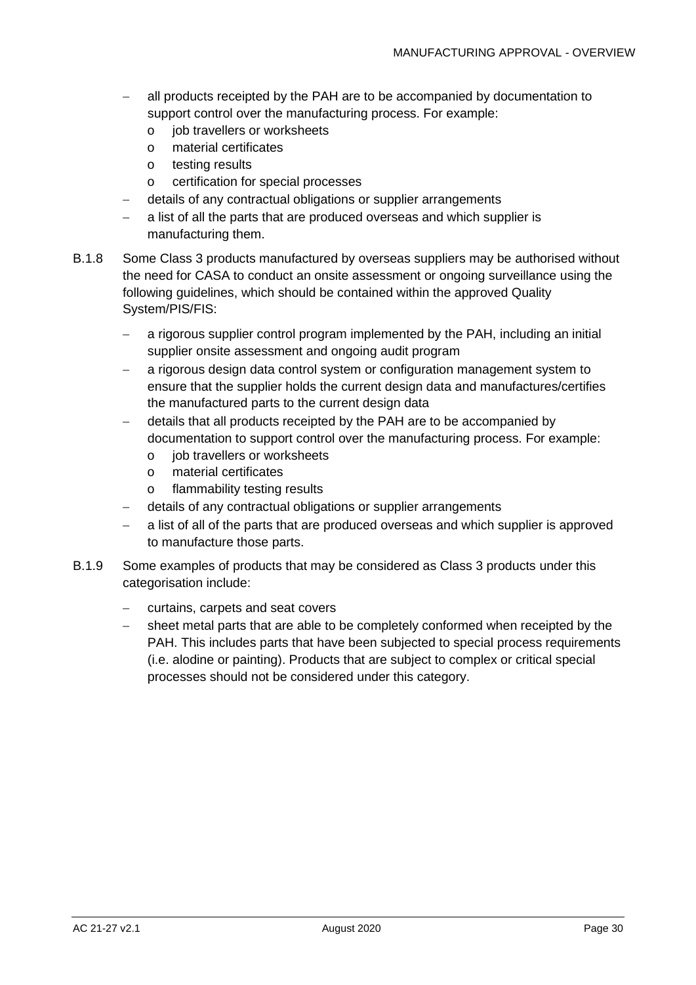- all products receipted by the PAH are to be accompanied by documentation to support control over the manufacturing process. For example:
	- o job travellers or worksheets
	- o material certificates
	- o testing results
	- o certification for special processes
- − details of any contractual obligations or supplier arrangements
- a list of all the parts that are produced overseas and which supplier is manufacturing them.
- B.1.8 Some Class 3 products manufactured by overseas suppliers may be authorised without the need for CASA to conduct an onsite assessment or ongoing surveillance using the following guidelines, which should be contained within the approved Quality System/PIS/FIS:
	- − a rigorous supplier control program implemented by the PAH, including an initial supplier onsite assessment and ongoing audit program
	- − a rigorous design data control system or configuration management system to ensure that the supplier holds the current design data and manufactures/certifies the manufactured parts to the current design data
	- − details that all products receipted by the PAH are to be accompanied by documentation to support control over the manufacturing process. For example:
		- o job travellers or worksheets
		- o material certificates
		- o flammability testing results
	- − details of any contractual obligations or supplier arrangements
	- a list of all of the parts that are produced overseas and which supplier is approved to manufacture those parts.
- <span id="page-30-0"></span>B.1.9 Some examples of products that may be considered as Class 3 products under this categorisation include:
	- − curtains, carpets and seat covers
	- − sheet metal parts that are able to be completely conformed when receipted by the PAH. This includes parts that have been subjected to special process requirements (i.e. alodine or painting). Products that are subject to complex or critical special processes should not be considered under this category.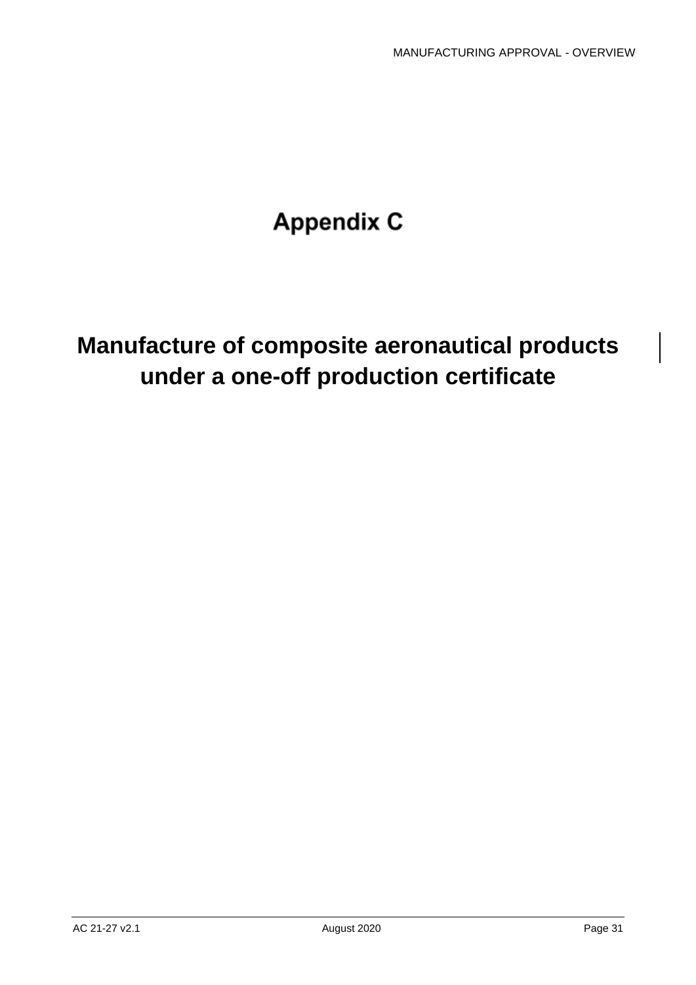# **Appendix C**

# **Manufacture of composite aeronautical products under a one-off production certificate**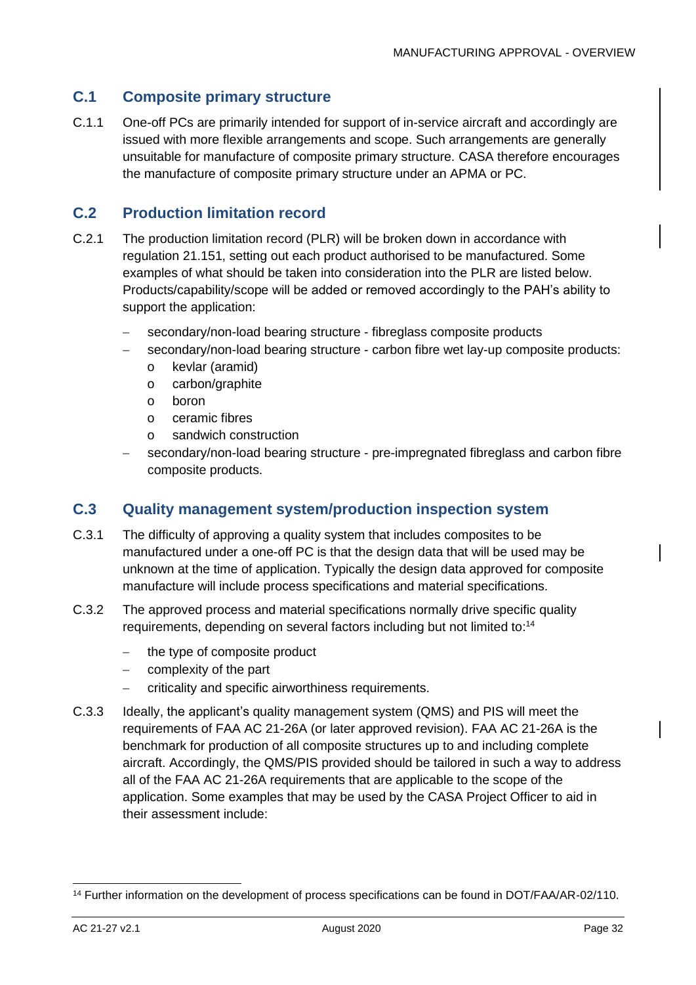#### **C.1 Composite primary structure**

C.1.1 One-off PCs are primarily intended for support of in-service aircraft and accordingly are issued with more flexible arrangements and scope. Such arrangements are generally unsuitable for manufacture of composite primary structure. CASA therefore encourages the manufacture of composite primary structure under an APMA or PC.

#### **C.2 Production limitation record**

- C.2.1 The production limitation record (PLR) will be broken down in accordance with regulation 21.151, setting out each product authorised to be manufactured. Some examples of what should be taken into consideration into the PLR are listed below. Products/capability/scope will be added or removed accordingly to the PAH's ability to support the application:
	- secondary/non-load bearing structure fibreglass composite products
	- secondary/non-load bearing structure carbon fibre wet lay-up composite products:
		- o kevlar (aramid)
		- o carbon/graphite
		- o boron
		- o ceramic fibres
		- o sandwich construction
	- secondary/non-load bearing structure pre-impregnated fibreglass and carbon fibre composite products.

#### **C.3 Quality management system/production inspection system**

- C.3.1 The difficulty of approving a quality system that includes composites to be manufactured under a one-off PC is that the design data that will be used may be unknown at the time of application. Typically the design data approved for composite manufacture will include process specifications and material specifications.
- C.3.2 The approved process and material specifications normally drive specific quality requirements, depending on several factors including but not limited to:<sup>14</sup>
	- − the type of composite product
	- complexity of the part
	- − criticality and specific airworthiness requirements.
- C.3.3 Ideally, the applicant's quality management system (QMS) and PIS will meet the requirements of FAA AC 21-26A (or later approved revision). FAA AC 21-26A is the benchmark for production of all composite structures up to and including complete aircraft. Accordingly, the QMS/PIS provided should be tailored in such a way to address all of the FAA AC 21-26A requirements that are applicable to the scope of the application. Some examples that may be used by the CASA Project Officer to aid in their assessment include:

<sup>14</sup> Further information on the development of process specifications can be found in DOT/FAA/AR-02/110.